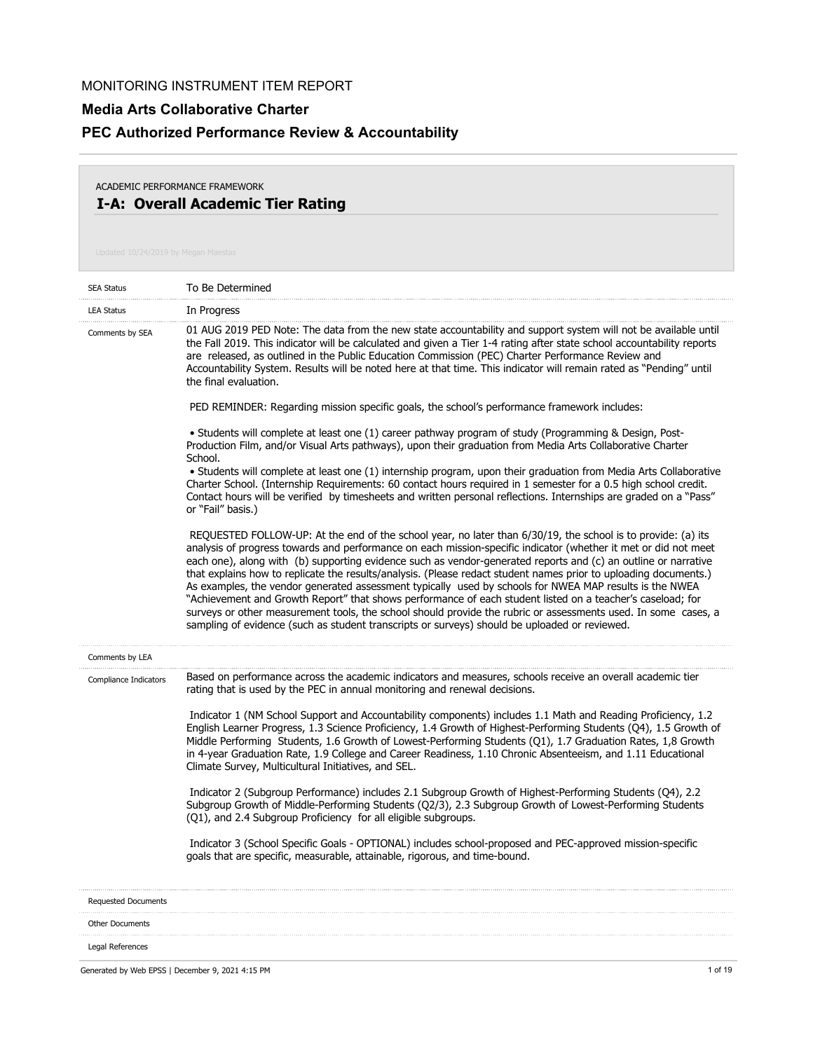#### **Media Arts Collaborative Charter**

# **PEC Authorized Performance Review & Accountability**

### **I-A: Overall Academic Tier Rating** ACADEMIC PERFORMANCE FRAMEWORK

| <b>SEA Status</b>          | To Be Determined                                                                                                                                                                                                                                                                                                                                                                                                                                                                                                                                                                                                                                                                                                                                                                                                                                                                                                  |
|----------------------------|-------------------------------------------------------------------------------------------------------------------------------------------------------------------------------------------------------------------------------------------------------------------------------------------------------------------------------------------------------------------------------------------------------------------------------------------------------------------------------------------------------------------------------------------------------------------------------------------------------------------------------------------------------------------------------------------------------------------------------------------------------------------------------------------------------------------------------------------------------------------------------------------------------------------|
| <b>LEA Status</b>          | In Progress                                                                                                                                                                                                                                                                                                                                                                                                                                                                                                                                                                                                                                                                                                                                                                                                                                                                                                       |
| Comments by SEA            | 01 AUG 2019 PED Note: The data from the new state accountability and support system will not be available until<br>the Fall 2019. This indicator will be calculated and given a Tier 1-4 rating after state school accountability reports<br>are released, as outlined in the Public Education Commission (PEC) Charter Performance Review and<br>Accountability System. Results will be noted here at that time. This indicator will remain rated as "Pending" until<br>the final evaluation.                                                                                                                                                                                                                                                                                                                                                                                                                    |
|                            | PED REMINDER: Regarding mission specific goals, the school's performance framework includes:                                                                                                                                                                                                                                                                                                                                                                                                                                                                                                                                                                                                                                                                                                                                                                                                                      |
|                            | • Students will complete at least one (1) career pathway program of study (Programming & Design, Post-<br>Production Film, and/or Visual Arts pathways), upon their graduation from Media Arts Collaborative Charter<br>School.                                                                                                                                                                                                                                                                                                                                                                                                                                                                                                                                                                                                                                                                                   |
|                            | • Students will complete at least one (1) internship program, upon their graduation from Media Arts Collaborative<br>Charter School. (Internship Requirements: 60 contact hours required in 1 semester for a 0.5 high school credit.<br>Contact hours will be verified by timesheets and written personal reflections. Internships are graded on a "Pass"<br>or "Fail" basis.)                                                                                                                                                                                                                                                                                                                                                                                                                                                                                                                                    |
|                            | REQUESTED FOLLOW-UP: At the end of the school year, no later than 6/30/19, the school is to provide: (a) its<br>analysis of progress towards and performance on each mission-specific indicator (whether it met or did not meet<br>each one), along with (b) supporting evidence such as vendor-generated reports and (c) an outline or narrative<br>that explains how to replicate the results/analysis. (Please redact student names prior to uploading documents.)<br>As examples, the vendor generated assessment typically used by schools for NWEA MAP results is the NWEA<br>"Achievement and Growth Report" that shows performance of each student listed on a teacher's caseload; for<br>surveys or other measurement tools, the school should provide the rubric or assessments used. In some cases, a<br>sampling of evidence (such as student transcripts or surveys) should be uploaded or reviewed. |
| Comments by LEA            |                                                                                                                                                                                                                                                                                                                                                                                                                                                                                                                                                                                                                                                                                                                                                                                                                                                                                                                   |
| Compliance Indicators      | Based on performance across the academic indicators and measures, schools receive an overall academic tier<br>rating that is used by the PEC in annual monitoring and renewal decisions.                                                                                                                                                                                                                                                                                                                                                                                                                                                                                                                                                                                                                                                                                                                          |
|                            | Indicator 1 (NM School Support and Accountability components) includes 1.1 Math and Reading Proficiency, 1.2<br>English Learner Progress, 1.3 Science Proficiency, 1.4 Growth of Highest-Performing Students (Q4), 1.5 Growth of<br>Middle Performing Students, 1.6 Growth of Lowest-Performing Students (Q1), 1.7 Graduation Rates, 1,8 Growth<br>in 4-year Graduation Rate, 1.9 College and Career Readiness, 1.10 Chronic Absenteeism, and 1.11 Educational<br>Climate Survey, Multicultural Initiatives, and SEL.                                                                                                                                                                                                                                                                                                                                                                                             |
|                            | Indicator 2 (Subgroup Performance) includes 2.1 Subgroup Growth of Highest-Performing Students (Q4), 2.2<br>Subgroup Growth of Middle-Performing Students (Q2/3), 2.3 Subgroup Growth of Lowest-Performing Students<br>(Q1), and 2.4 Subgroup Proficiency for all eligible subgroups.                                                                                                                                                                                                                                                                                                                                                                                                                                                                                                                                                                                                                             |
|                            | Indicator 3 (School Specific Goals - OPTIONAL) includes school-proposed and PEC-approved mission-specific<br>goals that are specific, measurable, attainable, rigorous, and time-bound.                                                                                                                                                                                                                                                                                                                                                                                                                                                                                                                                                                                                                                                                                                                           |
| <b>Requested Documents</b> |                                                                                                                                                                                                                                                                                                                                                                                                                                                                                                                                                                                                                                                                                                                                                                                                                                                                                                                   |
| <b>Other Documents</b>     |                                                                                                                                                                                                                                                                                                                                                                                                                                                                                                                                                                                                                                                                                                                                                                                                                                                                                                                   |
| Legal References           |                                                                                                                                                                                                                                                                                                                                                                                                                                                                                                                                                                                                                                                                                                                                                                                                                                                                                                                   |

Generated by Web EPSS | December 9, 2021 4:15 PM 1 of 19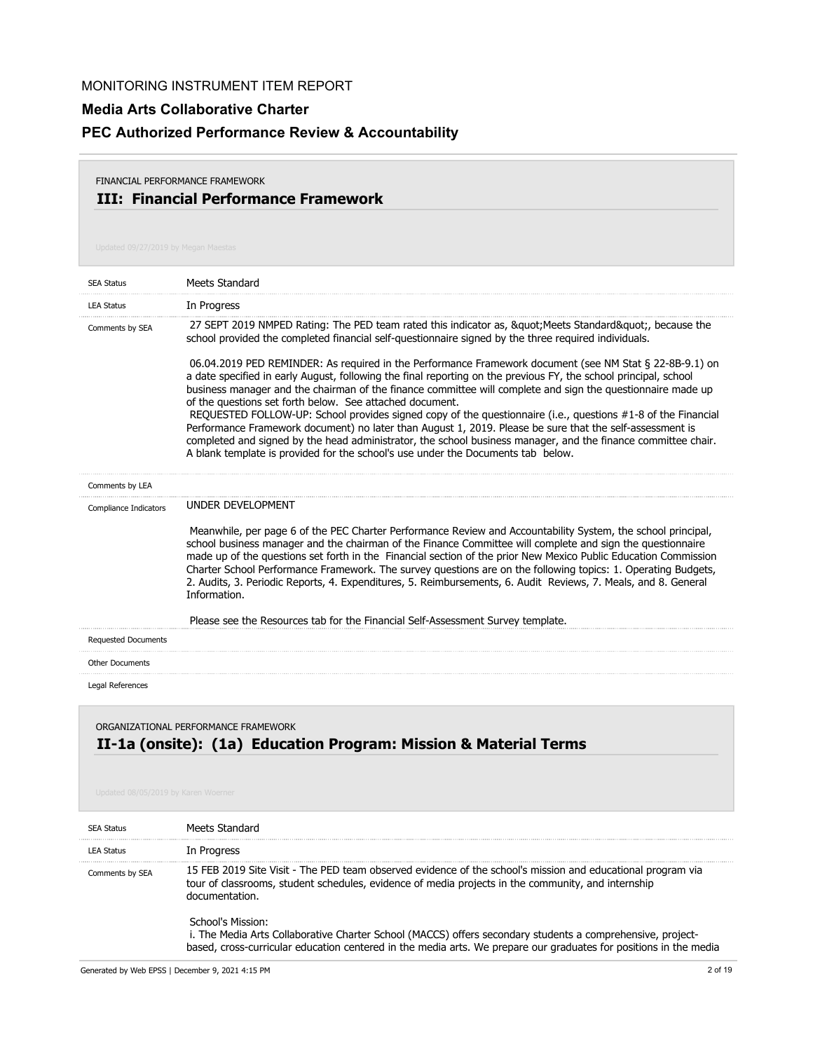## **Media Arts Collaborative Charter**

# **PEC Authorized Performance Review & Accountability**

#### **III: Financial Performance Framework** FINANCIAL PERFORMANCE FRAMEWORK

| <b>SEA Status</b>                                                                                        | <b>Meets Standard</b>                                                                                                                                                                                                                                                                                                                                                                                                                                                                                                                                                                                                                                                                                                                                                                                                                                                                                                                                                                                                                              |
|----------------------------------------------------------------------------------------------------------|----------------------------------------------------------------------------------------------------------------------------------------------------------------------------------------------------------------------------------------------------------------------------------------------------------------------------------------------------------------------------------------------------------------------------------------------------------------------------------------------------------------------------------------------------------------------------------------------------------------------------------------------------------------------------------------------------------------------------------------------------------------------------------------------------------------------------------------------------------------------------------------------------------------------------------------------------------------------------------------------------------------------------------------------------|
| <b>LEA Status</b>                                                                                        | In Progress                                                                                                                                                                                                                                                                                                                                                                                                                                                                                                                                                                                                                                                                                                                                                                                                                                                                                                                                                                                                                                        |
| Comments by SEA                                                                                          | 27 SEPT 2019 NMPED Rating: The PED team rated this indicator as, " Meets Standard", because the<br>school provided the completed financial self-questionnaire signed by the three required individuals.<br>06.04.2019 PED REMINDER: As required in the Performance Framework document (see NM Stat § 22-8B-9.1) on<br>a date specified in early August, following the final reporting on the previous FY, the school principal, school<br>business manager and the chairman of the finance committee will complete and sign the questionnaire made up<br>of the questions set forth below. See attached document.<br>REQUESTED FOLLOW-UP: School provides signed copy of the questionnaire (i.e., questions #1-8 of the Financial<br>Performance Framework document) no later than August 1, 2019. Please be sure that the self-assessment is<br>completed and signed by the head administrator, the school business manager, and the finance committee chair.<br>A blank template is provided for the school's use under the Documents tab below. |
| Comments by LEA                                                                                          |                                                                                                                                                                                                                                                                                                                                                                                                                                                                                                                                                                                                                                                                                                                                                                                                                                                                                                                                                                                                                                                    |
| Compliance Indicators                                                                                    | <b>UNDER DEVELOPMENT</b>                                                                                                                                                                                                                                                                                                                                                                                                                                                                                                                                                                                                                                                                                                                                                                                                                                                                                                                                                                                                                           |
|                                                                                                          | Meanwhile, per page 6 of the PEC Charter Performance Review and Accountability System, the school principal,<br>school business manager and the chairman of the Finance Committee will complete and sign the questionnaire<br>made up of the questions set forth in the Financial section of the prior New Mexico Public Education Commission<br>Charter School Performance Framework. The survey questions are on the following topics: 1. Operating Budgets,<br>2. Audits, 3. Periodic Reports, 4. Expenditures, 5. Reimbursements, 6. Audit Reviews, 7. Meals, and 8. General<br>Information.                                                                                                                                                                                                                                                                                                                                                                                                                                                   |
|                                                                                                          | Please see the Resources tab for the Financial Self-Assessment Survey template.                                                                                                                                                                                                                                                                                                                                                                                                                                                                                                                                                                                                                                                                                                                                                                                                                                                                                                                                                                    |
| <b>Requested Documents</b>                                                                               |                                                                                                                                                                                                                                                                                                                                                                                                                                                                                                                                                                                                                                                                                                                                                                                                                                                                                                                                                                                                                                                    |
| <b>Other Documents</b>                                                                                   |                                                                                                                                                                                                                                                                                                                                                                                                                                                                                                                                                                                                                                                                                                                                                                                                                                                                                                                                                                                                                                                    |
| Legal References                                                                                         |                                                                                                                                                                                                                                                                                                                                                                                                                                                                                                                                                                                                                                                                                                                                                                                                                                                                                                                                                                                                                                                    |
| ORGANIZATIONAL PERFORMANCE FRAMEWORK<br>II-1a (onsite): (1a) Education Program: Mission & Material Terms |                                                                                                                                                                                                                                                                                                                                                                                                                                                                                                                                                                                                                                                                                                                                                                                                                                                                                                                                                                                                                                                    |

| <b>SEA Status</b> | Meets Standard                                                                                                                                                                                                                                       |
|-------------------|------------------------------------------------------------------------------------------------------------------------------------------------------------------------------------------------------------------------------------------------------|
| <b>IFA Status</b> | In Progress                                                                                                                                                                                                                                          |
| Comments by SEA   | 15 FEB 2019 Site Visit - The PED team observed evidence of the school's mission and educational program via<br>tour of classrooms, student schedules, evidence of media projects in the community, and internship<br>documentation.                  |
|                   | School's Mission:<br>i. The Media Arts Collaborative Charter School (MACCS) offers secondary students a comprehensive, project-<br>based, cross-curricular education centered in the media arts. We prepare our graduates for positions in the media |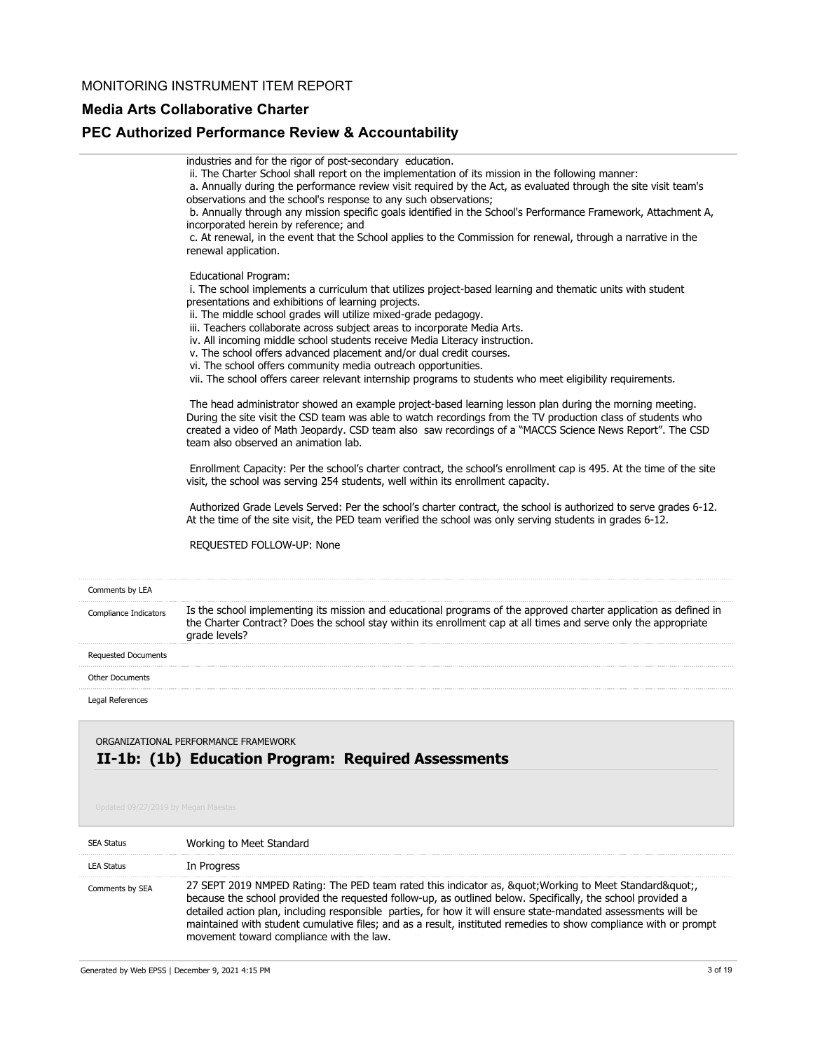#### **Media Arts Collaborative Charter**

### **PEC Authorized Performance Review & Accountability**

|                            | industries and for the rigor of post-secondary education.<br>ii. The Charter School shall report on the implementation of its mission in the following manner:<br>a. Annually during the performance review visit required by the Act, as evaluated through the site visit team's<br>observations and the school's response to any such observations;<br>b. Annually through any mission specific goals identified in the School's Performance Framework, Attachment A,<br>incorporated herein by reference; and<br>c. At renewal, in the event that the School applies to the Commission for renewal, through a narrative in the<br>renewal application.                            |
|----------------------------|--------------------------------------------------------------------------------------------------------------------------------------------------------------------------------------------------------------------------------------------------------------------------------------------------------------------------------------------------------------------------------------------------------------------------------------------------------------------------------------------------------------------------------------------------------------------------------------------------------------------------------------------------------------------------------------|
|                            | <b>Educational Program:</b><br>i. The school implements a curriculum that utilizes project-based learning and thematic units with student<br>presentations and exhibitions of learning projects.<br>ii. The middle school grades will utilize mixed-grade pedagogy.<br>iii. Teachers collaborate across subject areas to incorporate Media Arts.<br>iv. All incoming middle school students receive Media Literacy instruction.<br>v. The school offers advanced placement and/or dual credit courses.<br>vi. The school offers community media outreach opportunities.<br>vii. The school offers career relevant internship programs to students who meet eligibility requirements. |
|                            | The head administrator showed an example project-based learning lesson plan during the morning meeting.<br>During the site visit the CSD team was able to watch recordings from the TV production class of students who<br>created a video of Math Jeopardy. CSD team also saw recordings of a "MACCS Science News Report". The CSD<br>team also observed an animation lab.                                                                                                                                                                                                                                                                                                          |
|                            | Enrollment Capacity: Per the school's charter contract, the school's enrollment cap is 495. At the time of the site<br>visit, the school was serving 254 students, well within its enrollment capacity.                                                                                                                                                                                                                                                                                                                                                                                                                                                                              |
|                            | Authorized Grade Levels Served: Per the school's charter contract, the school is authorized to serve grades 6-12.<br>At the time of the site visit, the PED team verified the school was only serving students in grades 6-12.                                                                                                                                                                                                                                                                                                                                                                                                                                                       |
|                            | REQUESTED FOLLOW-UP: None                                                                                                                                                                                                                                                                                                                                                                                                                                                                                                                                                                                                                                                            |
| Comments by LEA            |                                                                                                                                                                                                                                                                                                                                                                                                                                                                                                                                                                                                                                                                                      |
| Compliance Indicators      | Is the school implementing its mission and educational programs of the approved charter application as defined in<br>the Charter Contract? Does the school stay within its enrollment cap at all times and serve only the appropriate<br>grade levels?                                                                                                                                                                                                                                                                                                                                                                                                                               |
| <b>Requested Documents</b> |                                                                                                                                                                                                                                                                                                                                                                                                                                                                                                                                                                                                                                                                                      |
| <b>Other Documents</b>     |                                                                                                                                                                                                                                                                                                                                                                                                                                                                                                                                                                                                                                                                                      |
| Legal References           |                                                                                                                                                                                                                                                                                                                                                                                                                                                                                                                                                                                                                                                                                      |
|                            |                                                                                                                                                                                                                                                                                                                                                                                                                                                                                                                                                                                                                                                                                      |

## **II-1b: (1b) Education Program: Required Assessments** ORGANIZATIONAL PERFORMANCE FRAMEWORK

| SEA Status        | Working to Meet Standard                                                                                                                                                                                                                                                                                                                                                                                                                                                                              |
|-------------------|-------------------------------------------------------------------------------------------------------------------------------------------------------------------------------------------------------------------------------------------------------------------------------------------------------------------------------------------------------------------------------------------------------------------------------------------------------------------------------------------------------|
| <b>LEA Status</b> | In Progress                                                                                                                                                                                                                                                                                                                                                                                                                                                                                           |
| Comments by SEA   | 27 SEPT 2019 NMPED Rating: The PED team rated this indicator as, &guot Working to Meet Standard&guot<br>because the school provided the requested follow-up, as outlined below. Specifically, the school provided a<br>detailed action plan, including responsible parties, for how it will ensure state-mandated assessments will be<br>maintained with student cumulative files; and as a result, instituted remedies to show compliance with or prompt<br>movement toward compliance with the law. |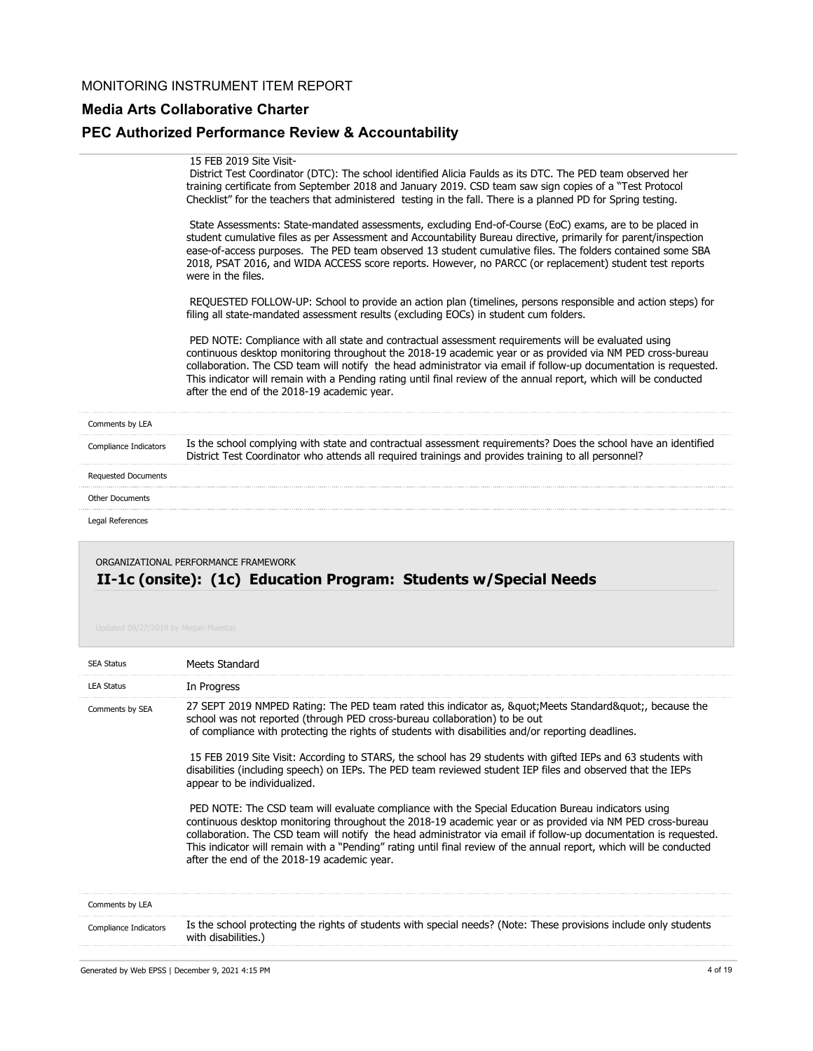#### **Media Arts Collaborative Charter**

#### **PEC Authorized Performance Review & Accountability**

#### 15 FEB 2019 Site Visit-

 District Test Coordinator (DTC): The school identified Alicia Faulds as its DTC. The PED team observed her training certificate from September 2018 and January 2019. CSD team saw sign copies of a "Test Protocol Checklist" for the teachers that administered testing in the fall. There is a planned PD for Spring testing.

 State Assessments: State-mandated assessments, excluding End-of-Course (EoC) exams, are to be placed in student cumulative files as per Assessment and Accountability Bureau directive, primarily for parent/inspection ease-of-access purposes. The PED team observed 13 student cumulative files. The folders contained some SBA 2018, PSAT 2016, and WIDA ACCESS score reports. However, no PARCC (or replacement) student test reports were in the files.

 REQUESTED FOLLOW-UP: School to provide an action plan (timelines, persons responsible and action steps) for filing all state-mandated assessment results (excluding EOCs) in student cum folders.

 PED NOTE: Compliance with all state and contractual assessment requirements will be evaluated using continuous desktop monitoring throughout the 2018-19 academic year or as provided via NM PED cross-bureau collaboration. The CSD team will notify the head administrator via email if follow-up documentation is requested. This indicator will remain with a Pending rating until final review of the annual report, which will be conducted after the end of the 2018-19 academic year.

| Comments by LEA            |                                                                                                                                                                                                                        |
|----------------------------|------------------------------------------------------------------------------------------------------------------------------------------------------------------------------------------------------------------------|
| Compliance Indicators      | Is the school complying with state and contractual assessment requirements? Does the school have an identified<br>District Test Coordinator who attends all required trainings and provides training to all personnel? |
| <b>Requested Documents</b> |                                                                                                                                                                                                                        |
| <b>Other Documents</b>     |                                                                                                                                                                                                                        |
| Legal References           |                                                                                                                                                                                                                        |
|                            |                                                                                                                                                                                                                        |

### **II-1c (onsite): (1c) Education Program: Students w/Special Needs** ORGANIZATIONAL PERFORMANCE FRAMEWORK

| <b>SEA Status</b>            | Meets Standard                                                                                                                                                                                                                                                                                                                                                                                                                                                                                                                                                                                                                                                                                                                                                                                                                                                                                                                                                                                                                                                               |
|------------------------------|------------------------------------------------------------------------------------------------------------------------------------------------------------------------------------------------------------------------------------------------------------------------------------------------------------------------------------------------------------------------------------------------------------------------------------------------------------------------------------------------------------------------------------------------------------------------------------------------------------------------------------------------------------------------------------------------------------------------------------------------------------------------------------------------------------------------------------------------------------------------------------------------------------------------------------------------------------------------------------------------------------------------------------------------------------------------------|
| <b>LEA Status</b>            | In Progress                                                                                                                                                                                                                                                                                                                                                                                                                                                                                                                                                                                                                                                                                                                                                                                                                                                                                                                                                                                                                                                                  |
| Comments by SEA              | 27 SEPT 2019 NMPED Rating: The PED team rated this indicator as, & quot; Meets Standard& quot;, because the<br>school was not reported (through PED cross-bureau collaboration) to be out<br>of compliance with protecting the rights of students with disabilities and/or reporting deadlines.<br>15 FEB 2019 Site Visit: According to STARS, the school has 29 students with gifted IEPs and 63 students with<br>disabilities (including speech) on IEPs. The PED team reviewed student IEP files and observed that the IEPs<br>appear to be individualized.<br>PED NOTE: The CSD team will evaluate compliance with the Special Education Bureau indicators using<br>continuous desktop monitoring throughout the 2018-19 academic year or as provided via NM PED cross-bureau<br>collaboration. The CSD team will notify the head administrator via email if follow-up documentation is requested.<br>This indicator will remain with a "Pending" rating until final review of the annual report, which will be conducted<br>after the end of the 2018-19 academic year. |
| Comments by LEA              |                                                                                                                                                                                                                                                                                                                                                                                                                                                                                                                                                                                                                                                                                                                                                                                                                                                                                                                                                                                                                                                                              |
| <b>Compliance Indicators</b> | Is the school protecting the rights of students with special needs? (Note: These provisions include only students<br>with disabilities.)                                                                                                                                                                                                                                                                                                                                                                                                                                                                                                                                                                                                                                                                                                                                                                                                                                                                                                                                     |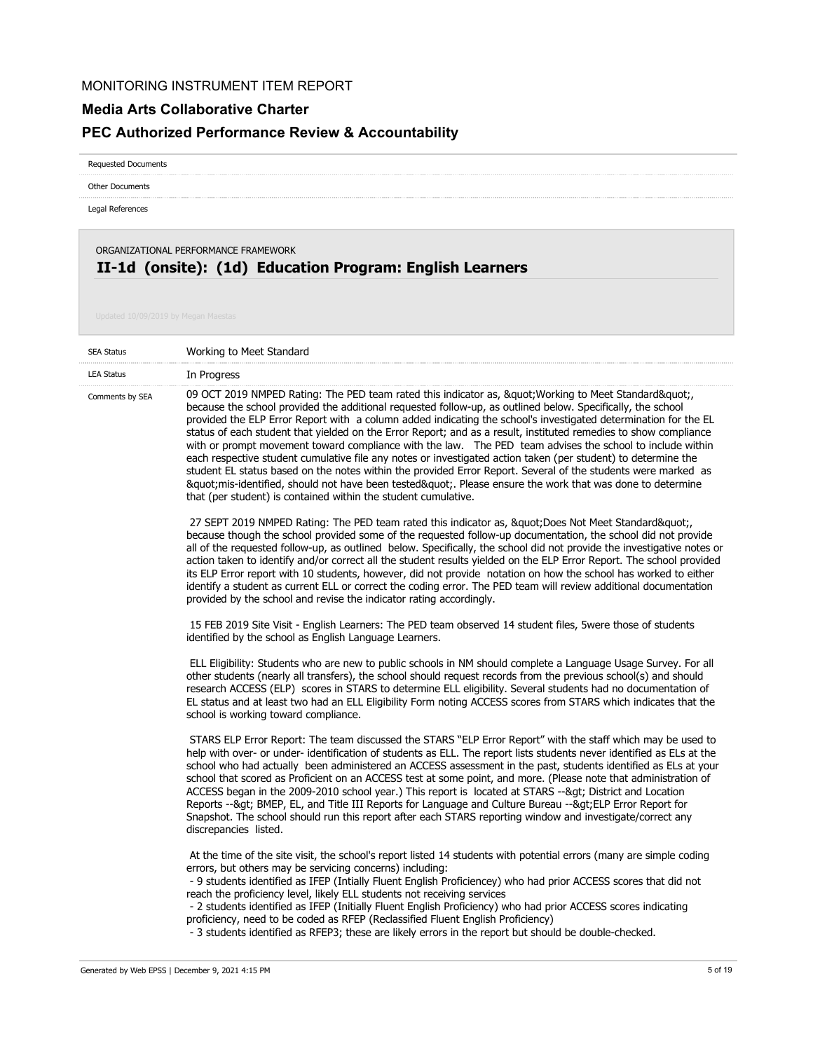#### **Media Arts Collaborative Charter**

# **PEC Authorized Performance Review & Accountability**

Requested Documents

Other Documents

Legal References

## **II-1d (onsite): (1d) Education Program: English Learners** ORGANIZATIONAL PERFORMANCE FRAMEWORK

| <b>SEA Status</b> | Working to Meet Standard                                                                                                                                                                                                                                                                                                                                                                                                                                                                                                                                                                                                                                                                                                                                                                                                                                                                                                                                                 |
|-------------------|--------------------------------------------------------------------------------------------------------------------------------------------------------------------------------------------------------------------------------------------------------------------------------------------------------------------------------------------------------------------------------------------------------------------------------------------------------------------------------------------------------------------------------------------------------------------------------------------------------------------------------------------------------------------------------------------------------------------------------------------------------------------------------------------------------------------------------------------------------------------------------------------------------------------------------------------------------------------------|
| <b>LEA Status</b> | In Progress                                                                                                                                                                                                                                                                                                                                                                                                                                                                                                                                                                                                                                                                                                                                                                                                                                                                                                                                                              |
| Comments by SEA   | 09 OCT 2019 NMPED Rating: The PED team rated this indicator as, " Working to Meet Standard",<br>because the school provided the additional requested follow-up, as outlined below. Specifically, the school<br>provided the ELP Error Report with a column added indicating the school's investigated determination for the EL<br>status of each student that yielded on the Error Report; and as a result, instituted remedies to show compliance<br>with or prompt movement toward compliance with the law.  The PED team advises the school to include within<br>each respective student cumulative file any notes or investigated action taken (per student) to determine the<br>student EL status based on the notes within the provided Error Report. Several of the students were marked as<br>"mis-identified, should not have been tested". Please ensure the work that was done to determine<br>that (per student) is contained within the student cumulative. |
|                   | 27 SEPT 2019 NMPED Rating: The PED team rated this indicator as, "Does Not Meet Standard"<br>because though the school provided some of the requested follow-up documentation, the school did not provide<br>all of the requested follow-up, as outlined below. Specifically, the school did not provide the investigative notes or<br>action taken to identify and/or correct all the student results yielded on the ELP Error Report. The school provided<br>its ELP Error report with 10 students, however, did not provide notation on how the school has worked to either<br>identify a student as current ELL or correct the coding error. The PED team will review additional documentation<br>provided by the school and revise the indicator rating accordingly.                                                                                                                                                                                                |
|                   | 15 FEB 2019 Site Visit - English Learners: The PED team observed 14 student files, 5were those of students<br>identified by the school as English Language Learners.                                                                                                                                                                                                                                                                                                                                                                                                                                                                                                                                                                                                                                                                                                                                                                                                     |
|                   | ELL Eligibility: Students who are new to public schools in NM should complete a Language Usage Survey. For all<br>other students (nearly all transfers), the school should request records from the previous school(s) and should<br>research ACCESS (ELP) scores in STARS to determine ELL eligibility. Several students had no documentation of<br>EL status and at least two had an ELL Eligibility Form noting ACCESS scores from STARS which indicates that the<br>school is working toward compliance.                                                                                                                                                                                                                                                                                                                                                                                                                                                             |
|                   | STARS ELP Error Report: The team discussed the STARS "ELP Error Report" with the staff which may be used to<br>help with over- or under- identification of students as ELL. The report lists students never identified as ELs at the<br>school who had actually been administered an ACCESS assessment in the past, students identified as ELs at your<br>school that scored as Proficient on an ACCESS test at some point, and more. (Please note that administration of<br>ACCESS began in the 2009-2010 school year.) This report is located at STARS --> District and Location<br>Reports -- > BMEP, EL, and Title III Reports for Language and Culture Bureau -- > ELP Error Report for<br>Snapshot. The school should run this report after each STARS reporting window and investigate/correct any<br>discrepancies listed.                                                                                                                                       |
|                   | At the time of the site visit, the school's report listed 14 students with potential errors (many are simple coding<br>errors, but others may be servicing concerns) including:<br>- 9 students identified as IFEP (Intially Fluent English Proficiencey) who had prior ACCESS scores that did not<br>reach the proficiency level, likely ELL students not receiving services<br>- 2 students identified as IFEP (Initially Fluent English Proficiency) who had prior ACCESS scores indicating<br>proficiency, need to be coded as RFEP (Reclassified Fluent English Proficiency)<br>- 3 students identified as RFEP3; these are likely errors in the report but should be double-checked.                                                                                                                                                                                                                                                                               |
|                   | 5 of 19<br>Generated by Web EPSS   December 9, 2021 4:15 PM                                                                                                                                                                                                                                                                                                                                                                                                                                                                                                                                                                                                                                                                                                                                                                                                                                                                                                              |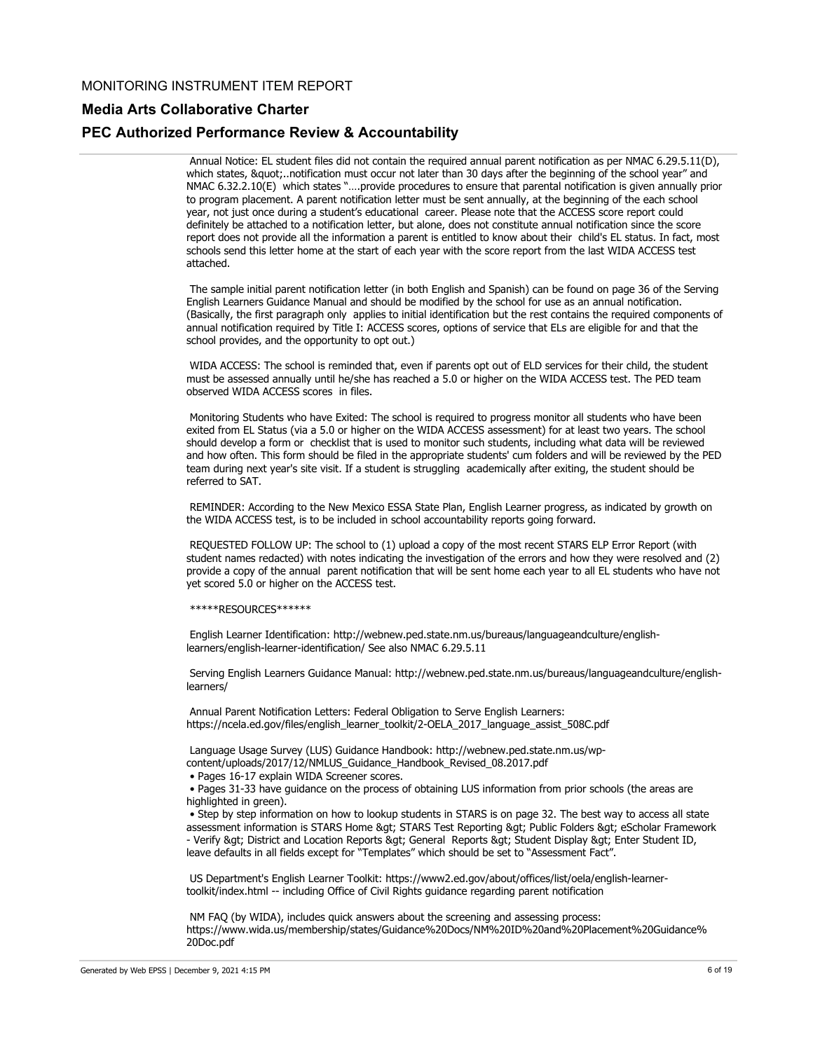#### **Media Arts Collaborative Charter**

#### **PEC Authorized Performance Review & Accountability**

 Annual Notice: EL student files did not contain the required annual parent notification as per NMAC 6.29.5.11(D), which states, "..notification must occur not later than 30 days after the beginning of the school year" and NMAC 6.32.2.10(E) which states "….provide procedures to ensure that parental notification is given annually prior to program placement. A parent notification letter must be sent annually, at the beginning of the each school year, not just once during a student's educational career. Please note that the ACCESS score report could definitely be attached to a notification letter, but alone, does not constitute annual notification since the score report does not provide all the information a parent is entitled to know about their child's EL status. In fact, most schools send this letter home at the start of each year with the score report from the last WIDA ACCESS test attached.

 The sample initial parent notification letter (in both English and Spanish) can be found on page 36 of the Serving English Learners Guidance Manual and should be modified by the school for use as an annual notification. (Basically, the first paragraph only applies to initial identification but the rest contains the required components of annual notification required by Title I: ACCESS scores, options of service that ELs are eligible for and that the school provides, and the opportunity to opt out.)

 WIDA ACCESS: The school is reminded that, even if parents opt out of ELD services for their child, the student must be assessed annually until he/she has reached a 5.0 or higher on the WIDA ACCESS test. The PED team observed WIDA ACCESS scores in files.

 Monitoring Students who have Exited: The school is required to progress monitor all students who have been exited from EL Status (via a 5.0 or higher on the WIDA ACCESS assessment) for at least two years. The school should develop a form or checklist that is used to monitor such students, including what data will be reviewed and how often. This form should be filed in the appropriate students' cum folders and will be reviewed by the PED team during next year's site visit. If a student is struggling academically after exiting, the student should be referred to SAT.

 REMINDER: According to the New Mexico ESSA State Plan, English Learner progress, as indicated by growth on the WIDA ACCESS test, is to be included in school accountability reports going forward.

 REQUESTED FOLLOW UP: The school to (1) upload a copy of the most recent STARS ELP Error Report (with student names redacted) with notes indicating the investigation of the errors and how they were resolved and (2) provide a copy of the annual parent notification that will be sent home each year to all EL students who have not yet scored 5.0 or higher on the ACCESS test.

\*\*\*\*\*RESOURCES\*\*\*\*\*\*

 English Learner Identification: http://webnew.ped.state.nm.us/bureaus/languageandculture/englishlearners/english-learner-identification/ See also NMAC 6.29.5.11

 Serving English Learners Guidance Manual: http://webnew.ped.state.nm.us/bureaus/languageandculture/englishlearners/

 Annual Parent Notification Letters: Federal Obligation to Serve English Learners: https://ncela.ed.gov/files/english\_learner\_toolkit/2-OELA\_2017\_language\_assist\_508C.pdf

 Language Usage Survey (LUS) Guidance Handbook: http://webnew.ped.state.nm.us/wpcontent/uploads/2017/12/NMLUS\_Guidance\_Handbook\_Revised\_08.2017.pdf

• Pages 16-17 explain WIDA Screener scores.

 • Pages 31-33 have guidance on the process of obtaining LUS information from prior schools (the areas are highlighted in green).

 • Step by step information on how to lookup students in STARS is on page 32. The best way to access all state assessment information is STARS Home &qt; STARS Test Reporting &qt; Public Folders &qt; eScholar Framework - Verify > District and Location Reports > General Reports > Student Display > Enter Student ID, leave defaults in all fields except for "Templates" which should be set to "Assessment Fact".

 US Department's English Learner Toolkit: https://www2.ed.gov/about/offices/list/oela/english-learnertoolkit/index.html -- including Office of Civil Rights guidance regarding parent notification

 NM FAQ (by WIDA), includes quick answers about the screening and assessing process: https://www.wida.us/membership/states/Guidance%20Docs/NM%20ID%20and%20Placement%20Guidance% 20Doc.pdf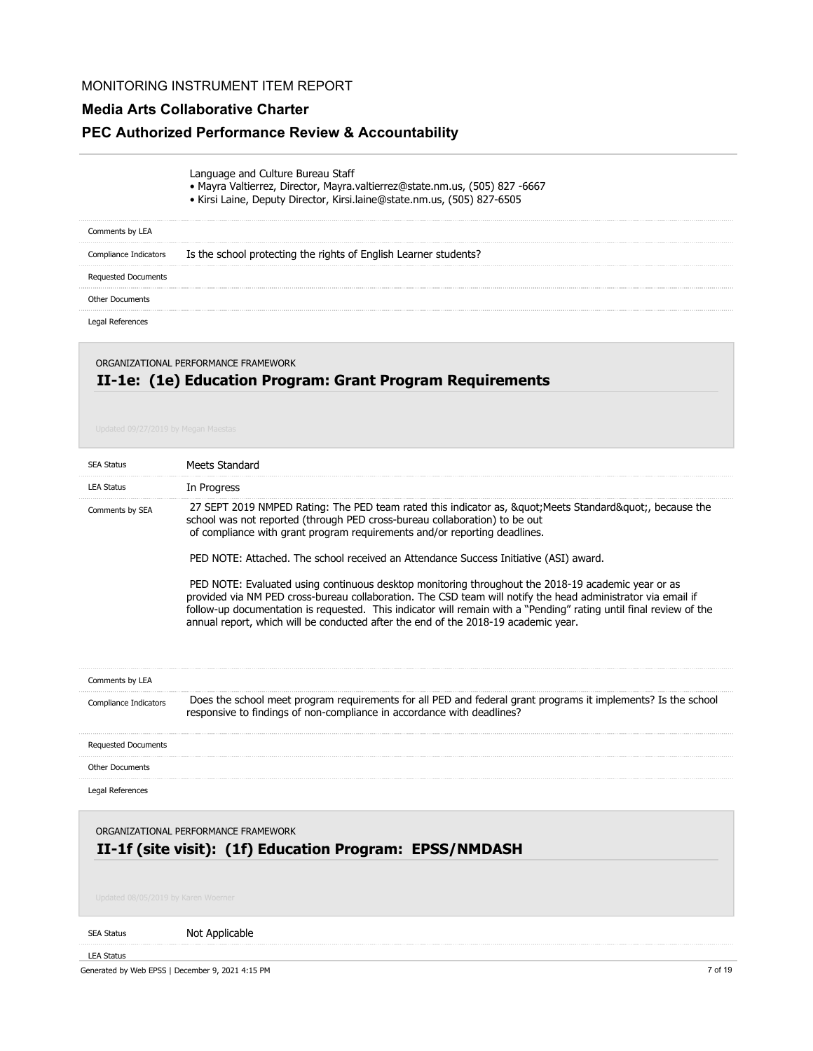# **Media Arts Collaborative Charter**

# **PEC Authorized Performance Review & Accountability**

| Language and Culture Bureau Staff |                                                             |  |
|-----------------------------------|-------------------------------------------------------------|--|
|                                   | $\sim$ Maura Valtierrez, Director, Maura valtierrez@state.n |  |

- Mayra Valtierrez, Director, Mayra.valtierrez@state.nm.us, (505) 827 -6667
- Kirsi Laine, Deputy Director, Kirsi.laine@state.nm.us, (505) 827-6505

| Comments by LEA        |                                                                  |
|------------------------|------------------------------------------------------------------|
| Compliance Indicators  | Is the school protecting the rights of English Learner students? |
| Requested Documents    |                                                                  |
| <b>Other Documents</b> |                                                                  |
| Legal References       |                                                                  |

## **II-1e: (1e) Education Program: Grant Program Requirements** ORGANIZATIONAL PERFORMANCE FRAMEWORK

| <b>SEA Status</b>                                | Meets Standard                                                                                                                                                                                                                                                                                                                                                                                                                 |
|--------------------------------------------------|--------------------------------------------------------------------------------------------------------------------------------------------------------------------------------------------------------------------------------------------------------------------------------------------------------------------------------------------------------------------------------------------------------------------------------|
| <b>LEA Status</b>                                | In Progress                                                                                                                                                                                                                                                                                                                                                                                                                    |
| Comments by SEA                                  | 27 SEPT 2019 NMPED Rating: The PED team rated this indicator as, " Meets Standard", because the<br>school was not reported (through PED cross-bureau collaboration) to be out<br>of compliance with grant program requirements and/or reporting deadlines.                                                                                                                                                                     |
|                                                  | PED NOTE: Attached. The school received an Attendance Success Initiative (ASI) award.                                                                                                                                                                                                                                                                                                                                          |
|                                                  | PED NOTE: Evaluated using continuous desktop monitoring throughout the 2018-19 academic year or as<br>provided via NM PED cross-bureau collaboration. The CSD team will notify the head administrator via email if<br>follow-up documentation is requested. This indicator will remain with a "Pending" rating until final review of the<br>annual report, which will be conducted after the end of the 2018-19 academic year. |
| Comments by LEA                                  |                                                                                                                                                                                                                                                                                                                                                                                                                                |
| Compliance Indicators                            | Does the school meet program requirements for all PED and federal grant programs it implements? Is the school<br>responsive to findings of non-compliance in accordance with deadlines?                                                                                                                                                                                                                                        |
| <b>Requested Documents</b>                       |                                                                                                                                                                                                                                                                                                                                                                                                                                |
| <b>Other Documents</b>                           |                                                                                                                                                                                                                                                                                                                                                                                                                                |
| Legal References                                 |                                                                                                                                                                                                                                                                                                                                                                                                                                |
| Updated 08/05/2019 by Karen Woerner              | ORGANIZATIONAL PERFORMANCE FRAMEWORK<br>II-1f (site visit): (1f) Education Program: EPSS/NMDASH                                                                                                                                                                                                                                                                                                                                |
| <b>SEA Status</b>                                | Not Applicable                                                                                                                                                                                                                                                                                                                                                                                                                 |
| <b>LEA Status</b>                                |                                                                                                                                                                                                                                                                                                                                                                                                                                |
| Generated by Web EPSS   December 9, 2021 4:15 PM | 7 of 19                                                                                                                                                                                                                                                                                                                                                                                                                        |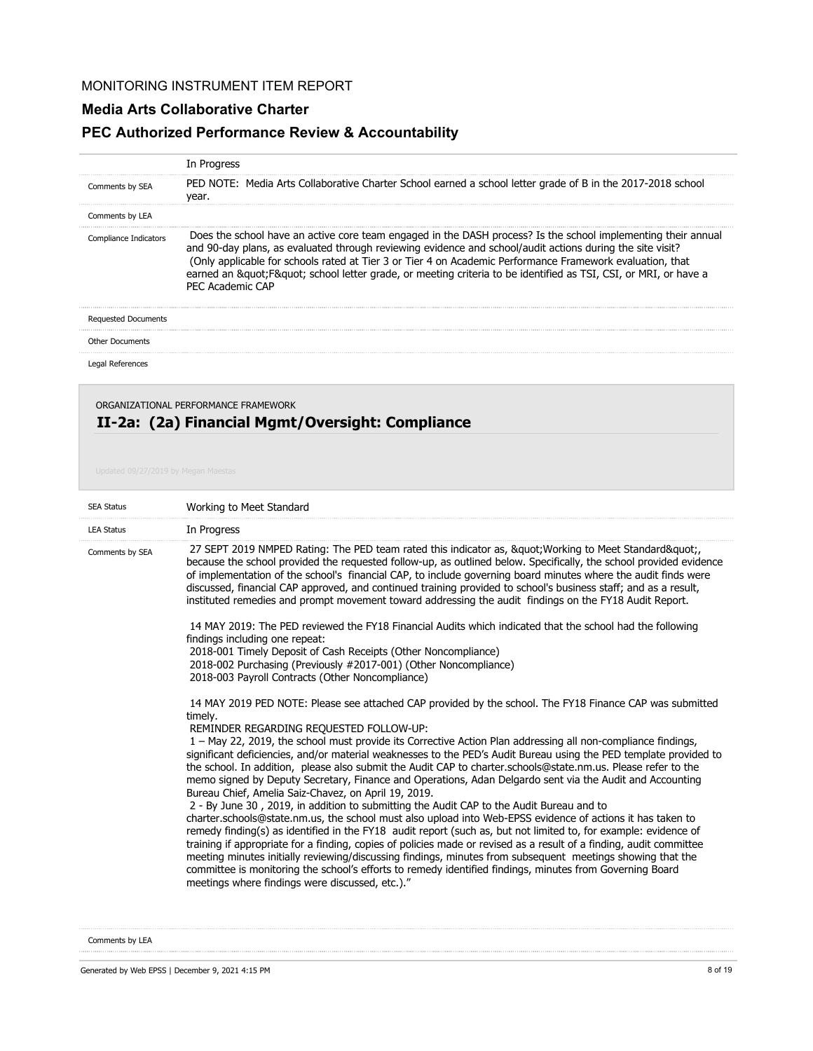### **Media Arts Collaborative Charter**

# **PEC Authorized Performance Review & Accountability**

|                            | In Progress                                                                                                                                                                                                                                                                                                                                                                                                                                                            |
|----------------------------|------------------------------------------------------------------------------------------------------------------------------------------------------------------------------------------------------------------------------------------------------------------------------------------------------------------------------------------------------------------------------------------------------------------------------------------------------------------------|
| Comments by SEA            | PED NOTE: Media Arts Collaborative Charter School earned a school letter grade of B in the 2017-2018 school<br>year.                                                                                                                                                                                                                                                                                                                                                   |
| Comments by LEA            |                                                                                                                                                                                                                                                                                                                                                                                                                                                                        |
| Compliance Indicators      | Does the school have an active core team engaged in the DASH process? Is the school implementing their annual<br>and 90-day plans, as evaluated through reviewing evidence and school/audit actions during the site visit?<br>(Only applicable for schools rated at Tier 3 or Tier 4 on Academic Performance Framework evaluation, that<br>earned an " F" school letter grade, or meeting criteria to be identified as TSI, CSI, or MRI, or have a<br>PFC Academic CAP |
| <b>Requested Documents</b> |                                                                                                                                                                                                                                                                                                                                                                                                                                                                        |
| <b>Other Documents</b>     |                                                                                                                                                                                                                                                                                                                                                                                                                                                                        |
| Legal References           |                                                                                                                                                                                                                                                                                                                                                                                                                                                                        |

# **II-2a: (2a) Financial Mgmt/Oversight: Compliance** ORGANIZATIONAL PERFORMANCE FRAMEWORK

| <b>SEA Status</b> | Working to Meet Standard                                                                                                                                                                                                                                                                                                                                                                                                                                                                                                                                                                                                                                                                                                                                                                                                                                                                                                                                                                                                                                                                                                                                                                                                                                                                                                                                                                                                                                                                                                                                                                                                                                                                                                                                                                                                                                                                                                            |
|-------------------|-------------------------------------------------------------------------------------------------------------------------------------------------------------------------------------------------------------------------------------------------------------------------------------------------------------------------------------------------------------------------------------------------------------------------------------------------------------------------------------------------------------------------------------------------------------------------------------------------------------------------------------------------------------------------------------------------------------------------------------------------------------------------------------------------------------------------------------------------------------------------------------------------------------------------------------------------------------------------------------------------------------------------------------------------------------------------------------------------------------------------------------------------------------------------------------------------------------------------------------------------------------------------------------------------------------------------------------------------------------------------------------------------------------------------------------------------------------------------------------------------------------------------------------------------------------------------------------------------------------------------------------------------------------------------------------------------------------------------------------------------------------------------------------------------------------------------------------------------------------------------------------------------------------------------------------|
| <b>LEA Status</b> | In Progress                                                                                                                                                                                                                                                                                                                                                                                                                                                                                                                                                                                                                                                                                                                                                                                                                                                                                                                                                                                                                                                                                                                                                                                                                                                                                                                                                                                                                                                                                                                                                                                                                                                                                                                                                                                                                                                                                                                         |
| Comments by SEA   | 27 SEPT 2019 NMPED Rating: The PED team rated this indicator as, " Working to Meet Standard"<br>because the school provided the requested follow-up, as outlined below. Specifically, the school provided evidence<br>of implementation of the school's financial CAP, to include governing board minutes where the audit finds were<br>discussed, financial CAP approved, and continued training provided to school's business staff; and as a result,<br>instituted remedies and prompt movement toward addressing the audit findings on the FY18 Audit Report.<br>14 MAY 2019: The PED reviewed the FY18 Financial Audits which indicated that the school had the following<br>findings including one repeat:<br>2018-001 Timely Deposit of Cash Receipts (Other Noncompliance)<br>2018-002 Purchasing (Previously #2017-001) (Other Noncompliance)<br>2018-003 Payroll Contracts (Other Noncompliance)<br>14 MAY 2019 PED NOTE: Please see attached CAP provided by the school. The FY18 Finance CAP was submitted<br>timely.<br>REMINDER REGARDING REQUESTED FOLLOW-UP:<br>1 – May 22, 2019, the school must provide its Corrective Action Plan addressing all non-compliance findings,<br>significant deficiencies, and/or material weaknesses to the PED's Audit Bureau using the PED template provided to<br>the school. In addition, please also submit the Audit CAP to charter.schools@state.nm.us. Please refer to the<br>memo signed by Deputy Secretary, Finance and Operations, Adan Delgardo sent via the Audit and Accounting<br>Bureau Chief, Amelia Saiz-Chavez, on April 19, 2019.<br>2 - By June 30, 2019, in addition to submitting the Audit CAP to the Audit Bureau and to<br>charter.schools@state.nm.us, the school must also upload into Web-EPSS evidence of actions it has taken to<br>remedy finding(s) as identified in the FY18 audit report (such as, but not limited to, for example: evidence of |
|                   | training if appropriate for a finding, copies of policies made or revised as a result of a finding, audit committee<br>meeting minutes initially reviewing/discussing findings, minutes from subsequent meetings showing that the<br>committee is monitoring the school's efforts to remedy identified findings, minutes from Governing Board<br>meetings where findings were discussed, etc.)."                                                                                                                                                                                                                                                                                                                                                                                                                                                                                                                                                                                                                                                                                                                                                                                                                                                                                                                                                                                                                                                                                                                                                                                                                                                                                                                                                                                                                                                                                                                                    |

Comments by LEA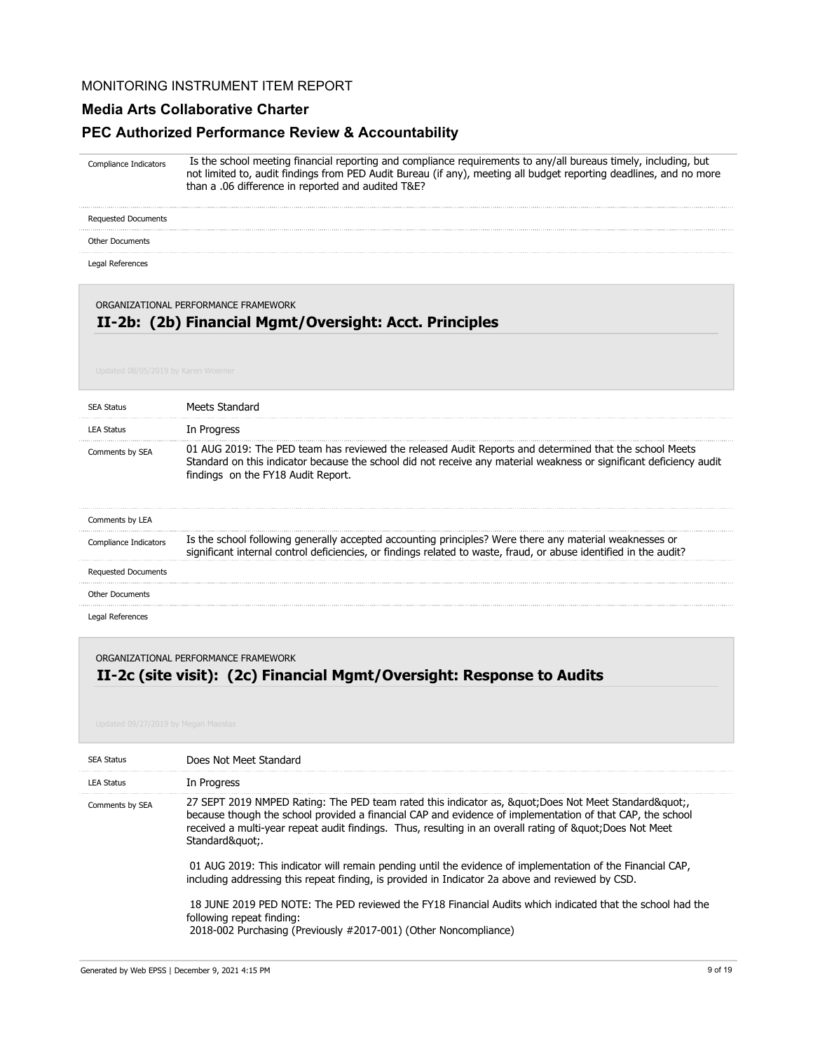#### **Media Arts Collaborative Charter**

### **PEC Authorized Performance Review & Accountability**

 Is the school meeting financial reporting and compliance requirements to any/all bureaus timely, including, but not limited to, audit findings from PED Audit Bureau (if any), meeting all budget reporting deadlines, and no more than a .06 difference in reported and audited T&E? Compliance Indicators

Requested Documents

#### Other Documents

Legal References

#### ORGANIZATIONAL PERFORMANCE FRAMEWORK

## **II-2b: (2b) Financial Mgmt/Oversight: Acct. Principles**

| <b>SEA Status</b>          | Meets Standard                                                                                                                                                                                                                                                      |
|----------------------------|---------------------------------------------------------------------------------------------------------------------------------------------------------------------------------------------------------------------------------------------------------------------|
| <b>LEA Status</b>          | In Progress                                                                                                                                                                                                                                                         |
| Comments by SEA            | 01 AUG 2019: The PED team has reviewed the released Audit Reports and determined that the school Meets<br>Standard on this indicator because the school did not receive any material weakness or significant deficiency audit<br>findings on the FY18 Audit Report. |
| Comments by LEA            |                                                                                                                                                                                                                                                                     |
| Compliance Indicators      | Is the school following generally accepted accounting principles? Were there any material weaknesses or<br>significant internal control deficiencies, or findings related to waste, fraud, or abuse identified in the audit?                                        |
| <b>Requested Documents</b> |                                                                                                                                                                                                                                                                     |
| <b>Other Documents</b>     |                                                                                                                                                                                                                                                                     |
| Legal References           |                                                                                                                                                                                                                                                                     |

ORGANIZATIONAL PERFORMANCE FRAMEWORK

# **II-2c (site visit): (2c) Financial Mgmt/Oversight: Response to Audits**

| <b>SEA Status</b> | Does Not Meet Standard                                                                                                                                                                                                                                                                                                                                                                                                                                                                                                                                                                                                                                                                                                                                                         |
|-------------------|--------------------------------------------------------------------------------------------------------------------------------------------------------------------------------------------------------------------------------------------------------------------------------------------------------------------------------------------------------------------------------------------------------------------------------------------------------------------------------------------------------------------------------------------------------------------------------------------------------------------------------------------------------------------------------------------------------------------------------------------------------------------------------|
| <b>LEA Status</b> | In Progress                                                                                                                                                                                                                                                                                                                                                                                                                                                                                                                                                                                                                                                                                                                                                                    |
| Comments by SEA   | 27 SEPT 2019 NMPED Rating: The PED team rated this indicator as, & quot; Does Not Meet Standard& quot;<br>because though the school provided a financial CAP and evidence of implementation of that CAP, the school<br>received a multi-year repeat audit findings. Thus, resulting in an overall rating of " Does Not Meet<br>Standard&guot:.<br>01 AUG 2019: This indicator will remain pending until the evidence of implementation of the Financial CAP,<br>including addressing this repeat finding, is provided in Indicator 2a above and reviewed by CSD.<br>18 JUNE 2019 PED NOTE: The PED reviewed the FY18 Financial Audits which indicated that the school had the<br>following repeat finding:<br>2018-002 Purchasing (Previously #2017-001) (Other Noncompliance) |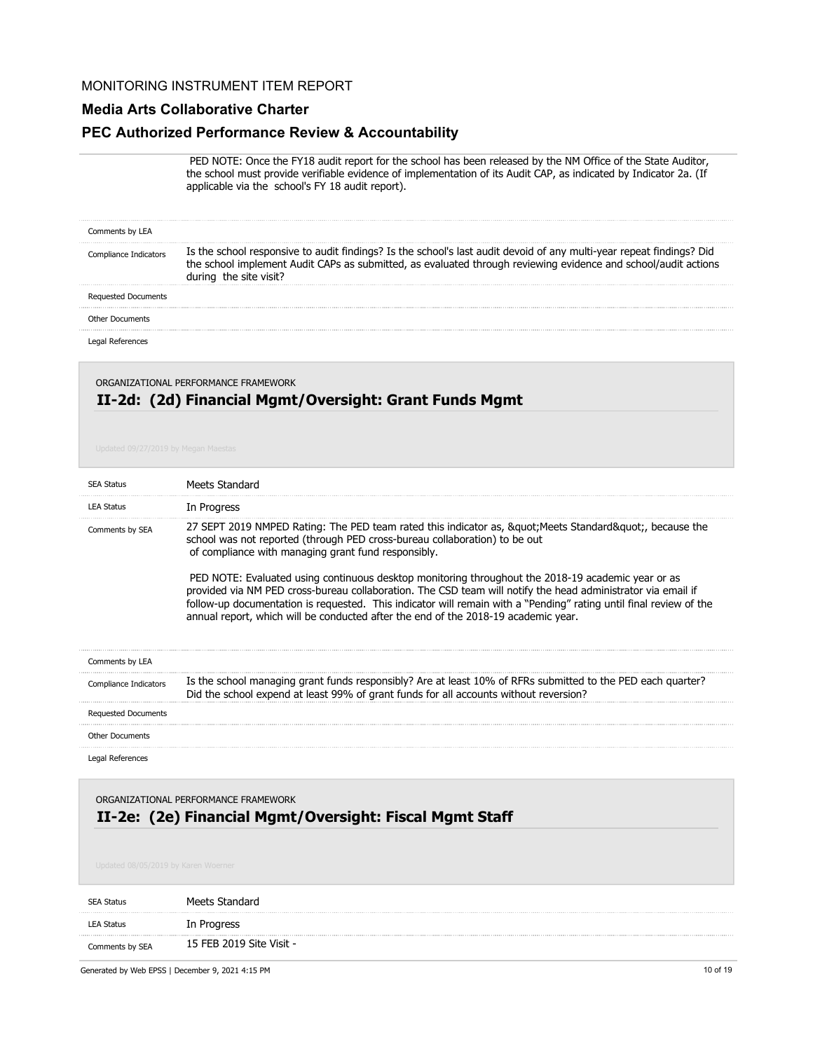#### **Media Arts Collaborative Charter**

#### **PEC Authorized Performance Review & Accountability**

 PED NOTE: Once the FY18 audit report for the school has been released by the NM Office of the State Auditor, the school must provide verifiable evidence of implementation of its Audit CAP, as indicated by Indicator 2a. (If applicable via the school's FY 18 audit report).

| Comments by LEA            |                                                                                                                                                                                                                                                                  |
|----------------------------|------------------------------------------------------------------------------------------------------------------------------------------------------------------------------------------------------------------------------------------------------------------|
| Compliance Indicators      | Is the school responsive to audit findings? Is the school's last audit devoid of any multi-year repeat findings? Did<br>the school implement Audit CAPs as submitted, as evaluated through reviewing evidence and school/audit actions<br>during the site visit? |
| <b>Requested Documents</b> |                                                                                                                                                                                                                                                                  |
| Other Documents            |                                                                                                                                                                                                                                                                  |
|                            |                                                                                                                                                                                                                                                                  |

# **II-2d: (2d) Financial Mgmt/Oversight: Grant Funds Mgmt** ORGANIZATIONAL PERFORMANCE FRAMEWORK

| <b>SEA Status</b>                                                                                                                      | Meets Standard                                                                                                                                                                                                                                                                                                                                                                                                                 |
|----------------------------------------------------------------------------------------------------------------------------------------|--------------------------------------------------------------------------------------------------------------------------------------------------------------------------------------------------------------------------------------------------------------------------------------------------------------------------------------------------------------------------------------------------------------------------------|
| <b>LEA Status</b>                                                                                                                      | In Progress                                                                                                                                                                                                                                                                                                                                                                                                                    |
| Comments by SEA                                                                                                                        | 27 SEPT 2019 NMPED Rating: The PED team rated this indicator as, " Meets Standard", because the<br>school was not reported (through PED cross-bureau collaboration) to be out<br>of compliance with managing grant fund responsibly.                                                                                                                                                                                           |
|                                                                                                                                        | PED NOTE: Evaluated using continuous desktop monitoring throughout the 2018-19 academic year or as<br>provided via NM PED cross-bureau collaboration. The CSD team will notify the head administrator via email if<br>follow-up documentation is requested. This indicator will remain with a "Pending" rating until final review of the<br>annual report, which will be conducted after the end of the 2018-19 academic year. |
| Comments by LEA                                                                                                                        |                                                                                                                                                                                                                                                                                                                                                                                                                                |
| Compliance Indicators                                                                                                                  | Is the school managing grant funds responsibly? Are at least 10% of RFRs submitted to the PED each quarter?<br>Did the school expend at least 99% of grant funds for all accounts without reversion?                                                                                                                                                                                                                           |
| <b>Requested Documents</b>                                                                                                             |                                                                                                                                                                                                                                                                                                                                                                                                                                |
| <b>Other Documents</b>                                                                                                                 |                                                                                                                                                                                                                                                                                                                                                                                                                                |
| Legal References                                                                                                                       |                                                                                                                                                                                                                                                                                                                                                                                                                                |
| ORGANIZATIONAL PERFORMANCE FRAMEWORK<br>II-2e: (2e) Financial Mgmt/Oversight: Fiscal Mgmt Staff<br>Updated 08/05/2019 by Karen Woerner |                                                                                                                                                                                                                                                                                                                                                                                                                                |
| <b>SEA Status</b>                                                                                                                      | Meets Standard                                                                                                                                                                                                                                                                                                                                                                                                                 |
| <b>LEA Status</b>                                                                                                                      | In Progress                                                                                                                                                                                                                                                                                                                                                                                                                    |

Comments by SEA 15 FEB 2019 Site Visit -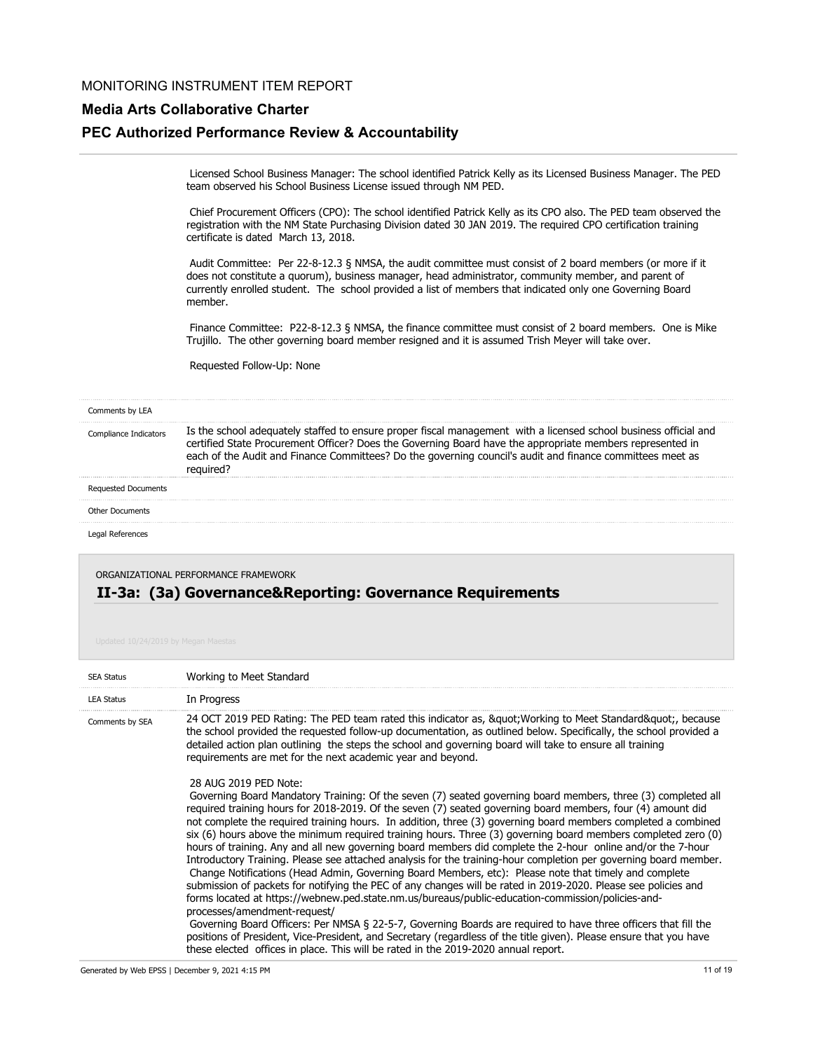#### **Media Arts Collaborative Charter**

#### **PEC Authorized Performance Review & Accountability**

 Licensed School Business Manager: The school identified Patrick Kelly as its Licensed Business Manager. The PED team observed his School Business License issued through NM PED.

 Chief Procurement Officers (CPO): The school identified Patrick Kelly as its CPO also. The PED team observed the registration with the NM State Purchasing Division dated 30 JAN 2019. The required CPO certification training certificate is dated March 13, 2018.

 Audit Committee: Per 22-8-12.3 § NMSA, the audit committee must consist of 2 board members (or more if it does not constitute a quorum), business manager, head administrator, community member, and parent of currently enrolled student. The school provided a list of members that indicated only one Governing Board member.

 Finance Committee: P22-8-12.3 § NMSA, the finance committee must consist of 2 board members. One is Mike Trujillo. The other governing board member resigned and it is assumed Trish Meyer will take over.

Requested Follow-Up: None

#### Comments by LEA

Is the school adequately staffed to ensure proper fiscal management with a licensed school business official and certified State Procurement Officer? Does the Governing Board have the appropriate members represented in each of the Audit and Finance Committees? Do the governing council's audit and finance committees meet as required? Compliance Indicators

Requested Documents Other Documents

Legal References

ORGANIZATIONAL PERFORMANCE FRAMEWORK

#### **II-3a: (3a) Governance&Reporting: Governance Requirements**

| <b>SEA Status</b> | Working to Meet Standard                                                                                                                                                                                                                                                                                                                                                                                                                                                                                                                                                                                                                                                                                                                                                                                                                                                                                                                                                                                                                                                                                                                                                                                                                                                                                                                                                                                                 |
|-------------------|--------------------------------------------------------------------------------------------------------------------------------------------------------------------------------------------------------------------------------------------------------------------------------------------------------------------------------------------------------------------------------------------------------------------------------------------------------------------------------------------------------------------------------------------------------------------------------------------------------------------------------------------------------------------------------------------------------------------------------------------------------------------------------------------------------------------------------------------------------------------------------------------------------------------------------------------------------------------------------------------------------------------------------------------------------------------------------------------------------------------------------------------------------------------------------------------------------------------------------------------------------------------------------------------------------------------------------------------------------------------------------------------------------------------------|
| <b>LEA Status</b> | In Progress                                                                                                                                                                                                                                                                                                                                                                                                                                                                                                                                                                                                                                                                                                                                                                                                                                                                                                                                                                                                                                                                                                                                                                                                                                                                                                                                                                                                              |
| Comments by SEA   | 24 OCT 2019 PED Rating: The PED team rated this indicator as, &guot Working to Meet Standard&guot, because<br>the school provided the requested follow-up documentation, as outlined below. Specifically, the school provided a<br>detailed action plan outlining the steps the school and governing board will take to ensure all training<br>requirements are met for the next academic year and beyond.                                                                                                                                                                                                                                                                                                                                                                                                                                                                                                                                                                                                                                                                                                                                                                                                                                                                                                                                                                                                               |
|                   | 28 AUG 2019 PED Note:<br>Governing Board Mandatory Training: Of the seven (7) seated governing board members, three (3) completed all<br>required training hours for 2018-2019. Of the seven (7) seated governing board members, four (4) amount did<br>not complete the required training hours. In addition, three (3) governing board members completed a combined<br>six (6) hours above the minimum required training hours. Three (3) governing board members completed zero (0)<br>hours of training. Any and all new governing board members did complete the 2-hour online and/or the 7-hour<br>Introductory Training. Please see attached analysis for the training-hour completion per governing board member.<br>Change Notifications (Head Admin, Governing Board Members, etc): Please note that timely and complete<br>submission of packets for notifying the PEC of any changes will be rated in 2019-2020. Please see policies and<br>forms located at https://webnew.ped.state.nm.us/bureaus/public-education-commission/policies-and-<br>processes/amendment-request/<br>Governing Board Officers: Per NMSA § 22-5-7, Governing Boards are required to have three officers that fill the<br>positions of President, Vice-President, and Secretary (regardless of the title given). Please ensure that you have<br>these elected offices in place. This will be rated in the 2019-2020 annual report. |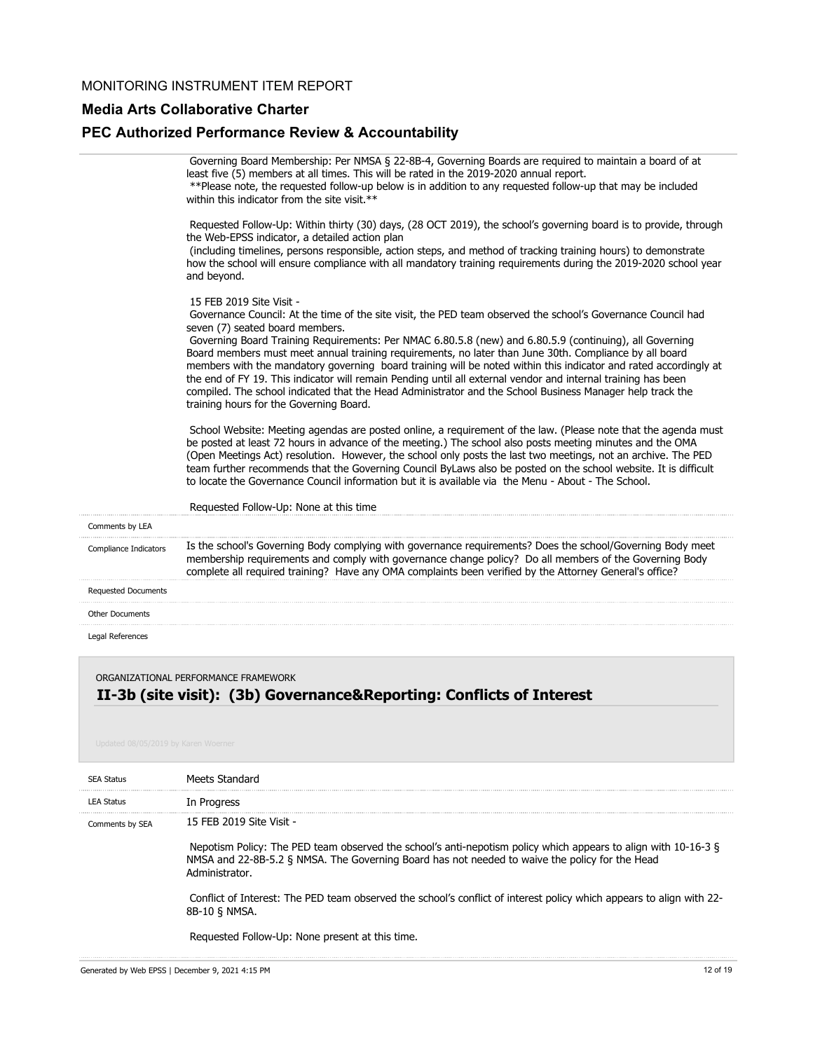### **Media Arts Collaborative Charter**

# **PEC Authorized Performance Review & Accountability**

|                        | Governing Board Membership: Per NMSA § 22-8B-4, Governing Boards are required to maintain a board of at<br>least five (5) members at all times. This will be rated in the 2019-2020 annual report.<br>** Please note, the requested follow-up below is in addition to any requested follow-up that may be included<br>within this indicator from the site visit.**                                                                                                                                                                                                                                                                                                                                                                                                                                                                                                                                                                                                                                                                                                                                                                                                                                                                                                                                                                                                      |
|------------------------|-------------------------------------------------------------------------------------------------------------------------------------------------------------------------------------------------------------------------------------------------------------------------------------------------------------------------------------------------------------------------------------------------------------------------------------------------------------------------------------------------------------------------------------------------------------------------------------------------------------------------------------------------------------------------------------------------------------------------------------------------------------------------------------------------------------------------------------------------------------------------------------------------------------------------------------------------------------------------------------------------------------------------------------------------------------------------------------------------------------------------------------------------------------------------------------------------------------------------------------------------------------------------------------------------------------------------------------------------------------------------|
|                        | Requested Follow-Up: Within thirty (30) days, (28 OCT 2019), the school's governing board is to provide, through<br>the Web-EPSS indicator, a detailed action plan<br>(including timelines, persons responsible, action steps, and method of tracking training hours) to demonstrate<br>how the school will ensure compliance with all mandatory training requirements during the 2019-2020 school year<br>and beyond.                                                                                                                                                                                                                                                                                                                                                                                                                                                                                                                                                                                                                                                                                                                                                                                                                                                                                                                                                  |
|                        | 15 FEB 2019 Site Visit -<br>Governance Council: At the time of the site visit, the PED team observed the school's Governance Council had<br>seven (7) seated board members.<br>Governing Board Training Requirements: Per NMAC 6.80.5.8 (new) and 6.80.5.9 (continuing), all Governing<br>Board members must meet annual training requirements, no later than June 30th. Compliance by all board<br>members with the mandatory governing board training will be noted within this indicator and rated accordingly at<br>the end of FY 19. This indicator will remain Pending until all external vendor and internal training has been<br>compiled. The school indicated that the Head Administrator and the School Business Manager help track the<br>training hours for the Governing Board.<br>School Website: Meeting agendas are posted online, a requirement of the law. (Please note that the agenda must<br>be posted at least 72 hours in advance of the meeting.) The school also posts meeting minutes and the OMA<br>(Open Meetings Act) resolution. However, the school only posts the last two meetings, not an archive. The PED<br>team further recommends that the Governing Council ByLaws also be posted on the school website. It is difficult<br>to locate the Governance Council information but it is available via the Menu - About - The School. |
|                        | Requested Follow-Up: None at this time                                                                                                                                                                                                                                                                                                                                                                                                                                                                                                                                                                                                                                                                                                                                                                                                                                                                                                                                                                                                                                                                                                                                                                                                                                                                                                                                  |
| Comments by LEA        |                                                                                                                                                                                                                                                                                                                                                                                                                                                                                                                                                                                                                                                                                                                                                                                                                                                                                                                                                                                                                                                                                                                                                                                                                                                                                                                                                                         |
| Compliance Indicators  | Is the school's Governing Body complying with governance requirements? Does the school/Governing Body meet<br>membership requirements and comply with governance change policy? Do all members of the Governing Body<br>complete all required training? Have any OMA complaints been verified by the Attorney General's office?                                                                                                                                                                                                                                                                                                                                                                                                                                                                                                                                                                                                                                                                                                                                                                                                                                                                                                                                                                                                                                         |
| Requested Documents    |                                                                                                                                                                                                                                                                                                                                                                                                                                                                                                                                                                                                                                                                                                                                                                                                                                                                                                                                                                                                                                                                                                                                                                                                                                                                                                                                                                         |
| <b>Other Documents</b> |                                                                                                                                                                                                                                                                                                                                                                                                                                                                                                                                                                                                                                                                                                                                                                                                                                                                                                                                                                                                                                                                                                                                                                                                                                                                                                                                                                         |
| Legal References       |                                                                                                                                                                                                                                                                                                                                                                                                                                                                                                                                                                                                                                                                                                                                                                                                                                                                                                                                                                                                                                                                                                                                                                                                                                                                                                                                                                         |
|                        |                                                                                                                                                                                                                                                                                                                                                                                                                                                                                                                                                                                                                                                                                                                                                                                                                                                                                                                                                                                                                                                                                                                                                                                                                                                                                                                                                                         |

ORGANIZATIONAL PERFORMANCE FRAMEWORK

# **II-3b (site visit): (3b) Governance&Reporting: Conflicts of Interest**

| <b>SEA Status</b> | Meets Standard                                                                                                                                                                                                                     |
|-------------------|------------------------------------------------------------------------------------------------------------------------------------------------------------------------------------------------------------------------------------|
| <b>LEA Status</b> | In Progress                                                                                                                                                                                                                        |
| Comments by SEA   | 15 FFB 2019 Site Visit -                                                                                                                                                                                                           |
|                   | Nepotism Policy: The PED team observed the school's anti-nepotism policy which appears to align with 10-16-3 §<br>NMSA and 22-8B-5.2 § NMSA. The Governing Board has not needed to waive the policy for the Head<br>Administrator. |
|                   | Conflict of Interest: The PED team observed the school's conflict of interest policy which appears to align with 22-<br>8B-10 & NMSA.                                                                                              |
|                   | Requested Follow-Up: None present at this time.                                                                                                                                                                                    |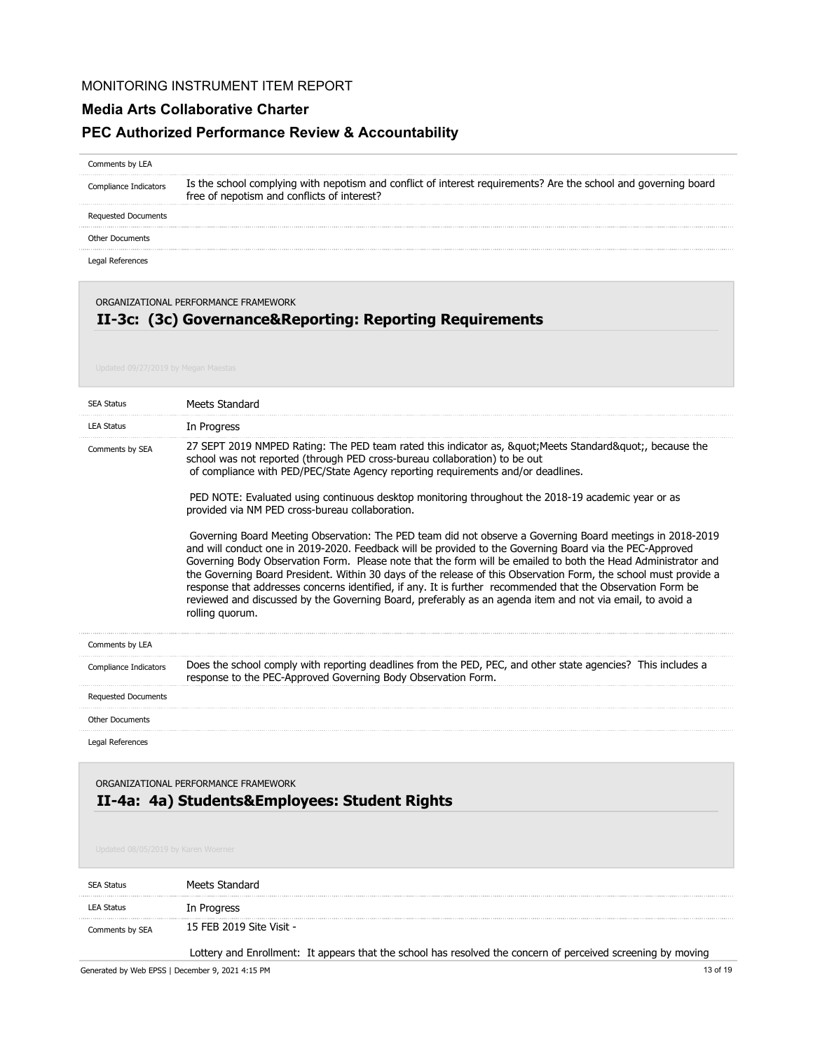#### **Media Arts Collaborative Charter**

#### **PEC Authorized Performance Review & Accountability**

#### Comments by LEA

Is the school complying with nepotism and conflict of interest requirements? Are the school and governing board free of nepotism and conflicts of interest? Compliance Indicators

Requested Documents

Other Documents

Legal References

ORGANIZATIONAL PERFORMANCE FRAMEWORK

# **II-3c: (3c) Governance&Reporting: Reporting Requirements**

| <b>SEA Status</b>                   | Meets Standard                                                                                                                                                                                                                                                                                                                                                                                                                                                                                                                                                                                                                                                                                            |
|-------------------------------------|-----------------------------------------------------------------------------------------------------------------------------------------------------------------------------------------------------------------------------------------------------------------------------------------------------------------------------------------------------------------------------------------------------------------------------------------------------------------------------------------------------------------------------------------------------------------------------------------------------------------------------------------------------------------------------------------------------------|
| <b>LEA Status</b>                   | In Progress                                                                                                                                                                                                                                                                                                                                                                                                                                                                                                                                                                                                                                                                                               |
| Comments by SEA                     | 27 SEPT 2019 NMPED Rating: The PED team rated this indicator as, " Meets Standard", because the<br>school was not reported (through PED cross-bureau collaboration) to be out<br>of compliance with PED/PEC/State Agency reporting requirements and/or deadlines.                                                                                                                                                                                                                                                                                                                                                                                                                                         |
|                                     | PED NOTE: Evaluated using continuous desktop monitoring throughout the 2018-19 academic year or as<br>provided via NM PED cross-bureau collaboration.                                                                                                                                                                                                                                                                                                                                                                                                                                                                                                                                                     |
|                                     | Governing Board Meeting Observation: The PED team did not observe a Governing Board meetings in 2018-2019<br>and will conduct one in 2019-2020. Feedback will be provided to the Governing Board via the PEC-Approved<br>Governing Body Observation Form. Please note that the form will be emailed to both the Head Administrator and<br>the Governing Board President. Within 30 days of the release of this Observation Form, the school must provide a<br>response that addresses concerns identified, if any. It is further recommended that the Observation Form be<br>reviewed and discussed by the Governing Board, preferably as an agenda item and not via email, to avoid a<br>rolling quorum. |
| Comments by LEA                     |                                                                                                                                                                                                                                                                                                                                                                                                                                                                                                                                                                                                                                                                                                           |
| Compliance Indicators               | Does the school comply with reporting deadlines from the PED, PEC, and other state agencies? This includes a<br>response to the PEC-Approved Governing Body Observation Form.                                                                                                                                                                                                                                                                                                                                                                                                                                                                                                                             |
| <b>Requested Documents</b>          |                                                                                                                                                                                                                                                                                                                                                                                                                                                                                                                                                                                                                                                                                                           |
| <b>Other Documents</b>              |                                                                                                                                                                                                                                                                                                                                                                                                                                                                                                                                                                                                                                                                                                           |
| Legal References                    |                                                                                                                                                                                                                                                                                                                                                                                                                                                                                                                                                                                                                                                                                                           |
| Updated 08/05/2019 by Karen Woerner | ORGANIZATIONAL PERFORMANCE FRAMEWORK<br>II-4a: 4a) Students&Employees: Student Rights                                                                                                                                                                                                                                                                                                                                                                                                                                                                                                                                                                                                                     |
| <b>SEA Status</b>                   | Meets Standard                                                                                                                                                                                                                                                                                                                                                                                                                                                                                                                                                                                                                                                                                            |
| <b>LEA Status</b>                   | In Progress                                                                                                                                                                                                                                                                                                                                                                                                                                                                                                                                                                                                                                                                                               |

15 FEB 2019 Site Visit - Comments by SEA

Lottery and Enrollment: It appears that the school has resolved the concern of perceived screening by moving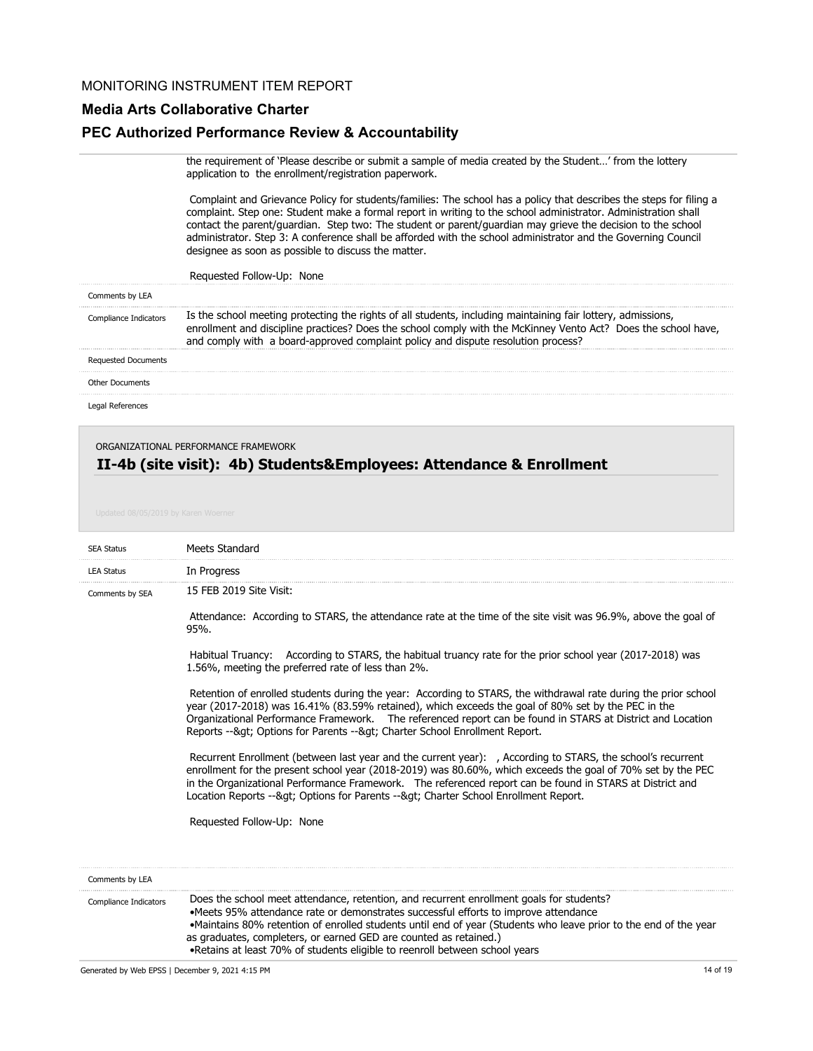## **Media Arts Collaborative Charter**

# **PEC Authorized Performance Review & Accountability**

|                            | the requirement of 'Please describe or submit a sample of media created by the Student' from the lottery<br>application to the enrollment/registration paperwork.                                                                                                                                                                                                                                                                                                                                                            |
|----------------------------|------------------------------------------------------------------------------------------------------------------------------------------------------------------------------------------------------------------------------------------------------------------------------------------------------------------------------------------------------------------------------------------------------------------------------------------------------------------------------------------------------------------------------|
|                            | Complaint and Grievance Policy for students/families: The school has a policy that describes the steps for filing a<br>complaint. Step one: Student make a formal report in writing to the school administrator. Administration shall<br>contact the parent/guardian. Step two: The student or parent/guardian may grieve the decision to the school<br>administrator. Step 3: A conference shall be afforded with the school administrator and the Governing Council<br>designee as soon as possible to discuss the matter. |
|                            | Requested Follow-Up: None                                                                                                                                                                                                                                                                                                                                                                                                                                                                                                    |
| Comments by LEA            |                                                                                                                                                                                                                                                                                                                                                                                                                                                                                                                              |
| Compliance Indicators      | Is the school meeting protecting the rights of all students, including maintaining fair lottery, admissions,<br>enrollment and discipline practices? Does the school comply with the McKinney Vento Act? Does the school have,<br>and comply with a board-approved complaint policy and dispute resolution process?                                                                                                                                                                                                          |
| <b>Requested Documents</b> |                                                                                                                                                                                                                                                                                                                                                                                                                                                                                                                              |
| <b>Other Documents</b>     |                                                                                                                                                                                                                                                                                                                                                                                                                                                                                                                              |
| Legal References           |                                                                                                                                                                                                                                                                                                                                                                                                                                                                                                                              |

## **II-4b (site visit): 4b) Students&Employees: Attendance & Enrollment** ORGANIZATIONAL PERFORMANCE FRAMEWORK

| <b>SEA Status</b>     | Meets Standard                                                                                                                                                                                                                                                                                                                                                                                                                                           |
|-----------------------|----------------------------------------------------------------------------------------------------------------------------------------------------------------------------------------------------------------------------------------------------------------------------------------------------------------------------------------------------------------------------------------------------------------------------------------------------------|
| <b>LEA Status</b>     | In Progress                                                                                                                                                                                                                                                                                                                                                                                                                                              |
| Comments by SEA       | 15 FEB 2019 Site Visit:                                                                                                                                                                                                                                                                                                                                                                                                                                  |
|                       | Attendance: According to STARS, the attendance rate at the time of the site visit was 96.9%, above the goal of<br>95%.                                                                                                                                                                                                                                                                                                                                   |
|                       | Habitual Truancy: According to STARS, the habitual truancy rate for the prior school year (2017-2018) was<br>1.56%, meeting the preferred rate of less than 2%.                                                                                                                                                                                                                                                                                          |
|                       | Retention of enrolled students during the year: According to STARS, the withdrawal rate during the prior school<br>year (2017-2018) was 16.41% (83.59% retained), which exceeds the goal of 80% set by the PEC in the<br>Organizational Performance Framework. The referenced report can be found in STARS at District and Location<br>Reports -- > Options for Parents -- > Charter School Enrollment Report.                                           |
|                       | Recurrent Enrollment (between last year and the current year): , According to STARS, the school's recurrent<br>enrollment for the present school year (2018-2019) was 80.60%, which exceeds the goal of 70% set by the PEC<br>in the Organizational Performance Framework. The referenced report can be found in STARS at District and<br>Location Reports --&qt Options for Parents --&qt Charter School Enrollment Report.                             |
|                       | Requested Follow-Up: None                                                                                                                                                                                                                                                                                                                                                                                                                                |
| Comments by LEA       |                                                                                                                                                                                                                                                                                                                                                                                                                                                          |
| Compliance Indicators | Does the school meet attendance, retention, and recurrent enrollment goals for students?<br>•Meets 95% attendance rate or demonstrates successful efforts to improve attendance<br>•Maintains 80% retention of enrolled students until end of year (Students who leave prior to the end of the year<br>as graduates, completers, or earned GED are counted as retained.)<br>. Retains at least 70% of students eligible to reenroll between school years |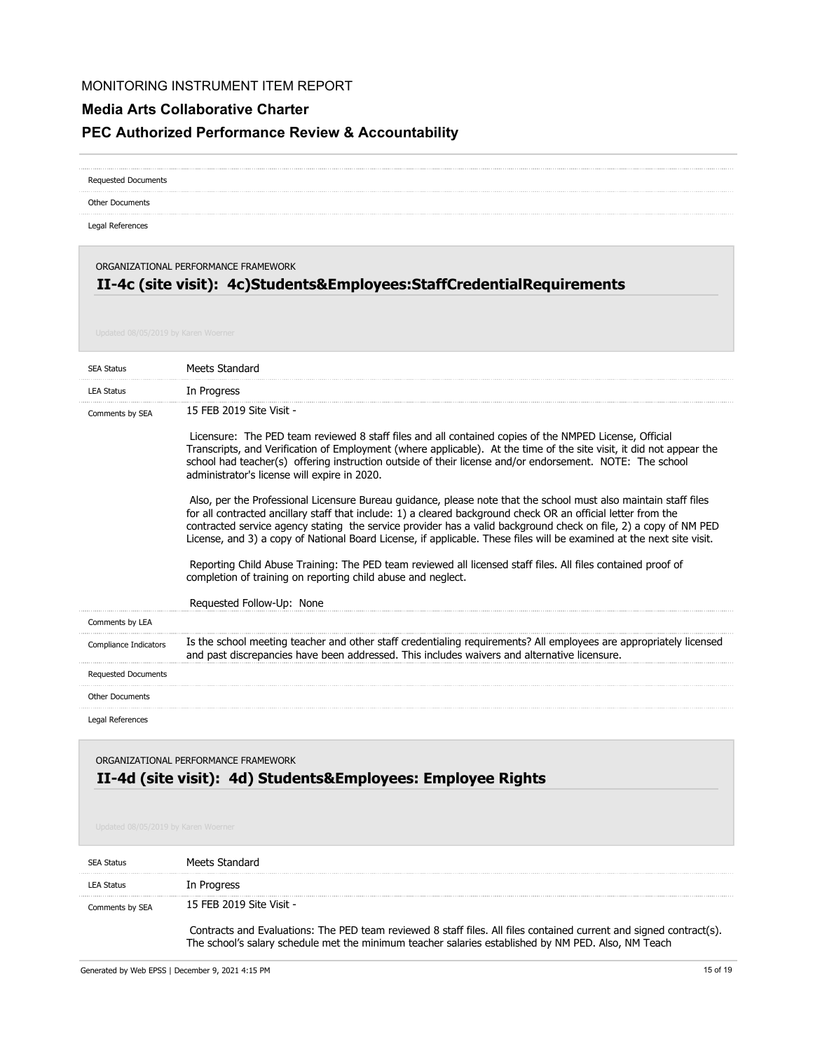### **Media Arts Collaborative Charter**

# **PEC Authorized Performance Review & Accountability**

| <b>Requested Documents</b>          |                                                                                                                                                                                                                                                                                                                                                                                                                                                                                                                                                                                                                                                                                                                                                                                                                                                                                                                                                                                                                                                                                                                       |  |
|-------------------------------------|-----------------------------------------------------------------------------------------------------------------------------------------------------------------------------------------------------------------------------------------------------------------------------------------------------------------------------------------------------------------------------------------------------------------------------------------------------------------------------------------------------------------------------------------------------------------------------------------------------------------------------------------------------------------------------------------------------------------------------------------------------------------------------------------------------------------------------------------------------------------------------------------------------------------------------------------------------------------------------------------------------------------------------------------------------------------------------------------------------------------------|--|
| <b>Other Documents</b>              |                                                                                                                                                                                                                                                                                                                                                                                                                                                                                                                                                                                                                                                                                                                                                                                                                                                                                                                                                                                                                                                                                                                       |  |
| Legal References                    |                                                                                                                                                                                                                                                                                                                                                                                                                                                                                                                                                                                                                                                                                                                                                                                                                                                                                                                                                                                                                                                                                                                       |  |
| Updated 08/05/2019 by Karen Woerner | ORGANIZATIONAL PERFORMANCE FRAMEWORK<br>II-4c (site visit): 4c)Students&Employees:StaffCredentialRequirements                                                                                                                                                                                                                                                                                                                                                                                                                                                                                                                                                                                                                                                                                                                                                                                                                                                                                                                                                                                                         |  |
| <b>SEA Status</b>                   | Meets Standard                                                                                                                                                                                                                                                                                                                                                                                                                                                                                                                                                                                                                                                                                                                                                                                                                                                                                                                                                                                                                                                                                                        |  |
| <b>LEA Status</b>                   | In Progress                                                                                                                                                                                                                                                                                                                                                                                                                                                                                                                                                                                                                                                                                                                                                                                                                                                                                                                                                                                                                                                                                                           |  |
| Comments by SEA                     | 15 FEB 2019 Site Visit -<br>Licensure: The PED team reviewed 8 staff files and all contained copies of the NMPED License, Official<br>Transcripts, and Verification of Employment (where applicable). At the time of the site visit, it did not appear the<br>school had teacher(s) offering instruction outside of their license and/or endorsement. NOTE: The school<br>administrator's license will expire in 2020.<br>Also, per the Professional Licensure Bureau guidance, please note that the school must also maintain staff files<br>for all contracted ancillary staff that include: 1) a cleared background check OR an official letter from the<br>contracted service agency stating the service provider has a valid background check on file, 2) a copy of NM PED<br>License, and 3) a copy of National Board License, if applicable. These files will be examined at the next site visit.<br>Reporting Child Abuse Training: The PED team reviewed all licensed staff files. All files contained proof of<br>completion of training on reporting child abuse and neglect.<br>Requested Follow-Up: None |  |
| Comments by LEA                     |                                                                                                                                                                                                                                                                                                                                                                                                                                                                                                                                                                                                                                                                                                                                                                                                                                                                                                                                                                                                                                                                                                                       |  |
| Compliance Indicators               | Is the school meeting teacher and other staff credentialing requirements? All employees are appropriately licensed<br>and past discrepancies have been addressed. This includes waivers and alternative licensure.                                                                                                                                                                                                                                                                                                                                                                                                                                                                                                                                                                                                                                                                                                                                                                                                                                                                                                    |  |
| <b>Requested Documents</b>          |                                                                                                                                                                                                                                                                                                                                                                                                                                                                                                                                                                                                                                                                                                                                                                                                                                                                                                                                                                                                                                                                                                                       |  |
| <b>Other Documents</b>              |                                                                                                                                                                                                                                                                                                                                                                                                                                                                                                                                                                                                                                                                                                                                                                                                                                                                                                                                                                                                                                                                                                                       |  |
| Legal References                    |                                                                                                                                                                                                                                                                                                                                                                                                                                                                                                                                                                                                                                                                                                                                                                                                                                                                                                                                                                                                                                                                                                                       |  |

# **II-4d (site visit): 4d) Students&Employees: Employee Rights** ORGANIZATIONAL PERFORMANCE FRAMEWORK

| <b>SEA Status</b> | Meets Standard                                                                                                                                                                                                             |
|-------------------|----------------------------------------------------------------------------------------------------------------------------------------------------------------------------------------------------------------------------|
| <b>LEA Status</b> | In Progress                                                                                                                                                                                                                |
| Comments by SEA   | 15 FEB 2019 Site Visit -                                                                                                                                                                                                   |
|                   | Contracts and Evaluations: The PED team reviewed 8 staff files. All files contained current and signed contract(s).<br>The school's salary schedule met the minimum teacher salaries established by NM PED. Also, NM Teach |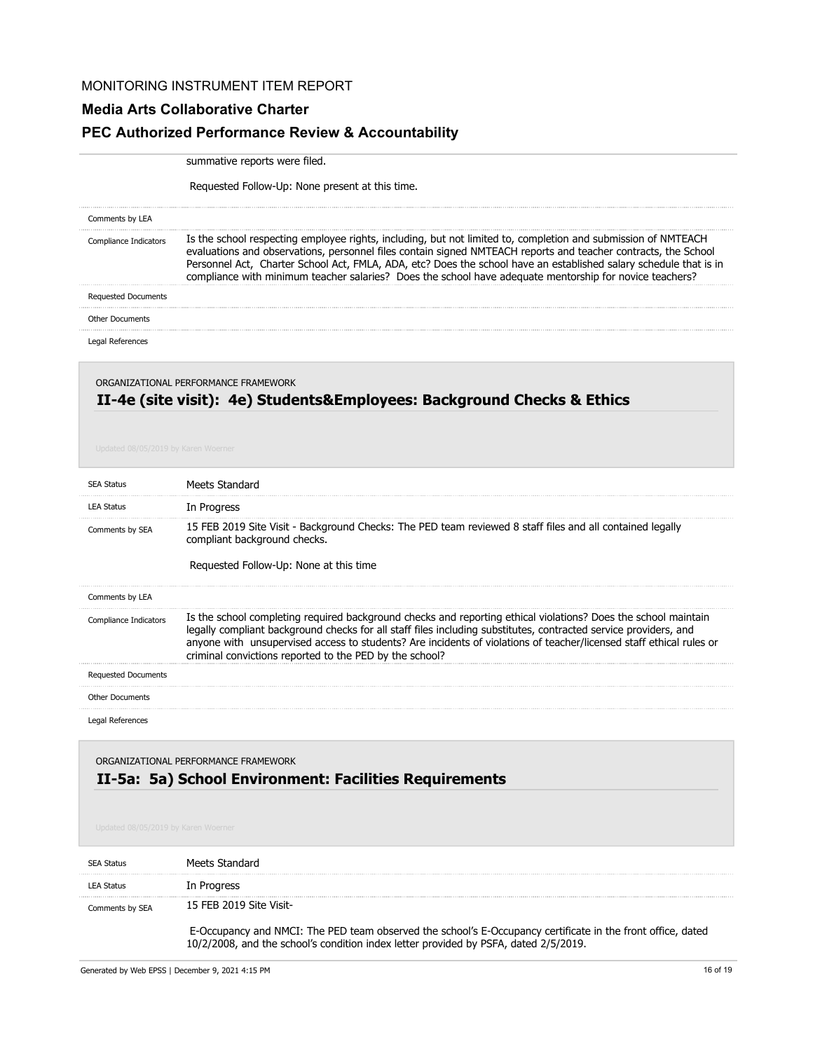#### **Media Arts Collaborative Charter**

#### **PEC Authorized Performance Review & Accountability**

summative reports were filed.

Requested Follow-Up: None present at this time.

| Comments by LEA            |                                                                                                                                                                                                                                                                                                                                                                                                                                                                 |
|----------------------------|-----------------------------------------------------------------------------------------------------------------------------------------------------------------------------------------------------------------------------------------------------------------------------------------------------------------------------------------------------------------------------------------------------------------------------------------------------------------|
| Compliance Indicators      | Is the school respecting employee rights, including, but not limited to, completion and submission of NMTEACH<br>evaluations and observations, personnel files contain signed NMTEACH reports and teacher contracts, the School<br>Personnel Act, Charter School Act, FMLA, ADA, etc? Does the school have an established salary schedule that is in<br>compliance with minimum teacher salaries? Does the school have adequate mentorship for novice teachers? |
| <b>Requested Documents</b> |                                                                                                                                                                                                                                                                                                                                                                                                                                                                 |
| <b>Other Documents</b>     |                                                                                                                                                                                                                                                                                                                                                                                                                                                                 |
| Legal References           |                                                                                                                                                                                                                                                                                                                                                                                                                                                                 |
|                            | ORGANIZATIONAL PERFORMANCE FRAMEWORK                                                                                                                                                                                                                                                                                                                                                                                                                            |

# **II-4e (site visit): 4e) Students&Employees: Background Checks & Ethics**

| <b>SEA Status</b>          | Meets Standard                                                                                                                                                                                                                                                                                                                                                                                                       |
|----------------------------|----------------------------------------------------------------------------------------------------------------------------------------------------------------------------------------------------------------------------------------------------------------------------------------------------------------------------------------------------------------------------------------------------------------------|
| <b>LEA Status</b>          | In Progress                                                                                                                                                                                                                                                                                                                                                                                                          |
| Comments by SEA            | 15 FEB 2019 Site Visit - Background Checks: The PED team reviewed 8 staff files and all contained legally<br>compliant background checks.<br>Requested Follow-Up: None at this time                                                                                                                                                                                                                                  |
|                            |                                                                                                                                                                                                                                                                                                                                                                                                                      |
| Comments by LEA            |                                                                                                                                                                                                                                                                                                                                                                                                                      |
| Compliance Indicators      | Is the school completing required background checks and reporting ethical violations? Does the school maintain<br>legally compliant background checks for all staff files including substitutes, contracted service providers, and<br>anyone with unsupervised access to students? Are incidents of violations of teacher/licensed staff ethical rules or<br>criminal convictions reported to the PED by the school? |
| <b>Requested Documents</b> |                                                                                                                                                                                                                                                                                                                                                                                                                      |
| <b>Other Documents</b>     |                                                                                                                                                                                                                                                                                                                                                                                                                      |
| Legal References           |                                                                                                                                                                                                                                                                                                                                                                                                                      |

### **II-5a: 5a) School Environment: Facilities Requirements** ORGANIZATIONAL PERFORMANCE FRAMEWORK

| <b>SEA Status</b> | Meets Standard                                                                                                                                                                                      |
|-------------------|-----------------------------------------------------------------------------------------------------------------------------------------------------------------------------------------------------|
| <b>LEA Status</b> | In Progress                                                                                                                                                                                         |
| Comments by SEA   | 15 FEB 2019 Site Visit-                                                                                                                                                                             |
|                   | E-Occupancy and NMCI: The PED team observed the school's E-Occupancy certificate in the front office, dated<br>10/2/2008, and the school's condition index letter provided by PSFA, dated 2/5/2019. |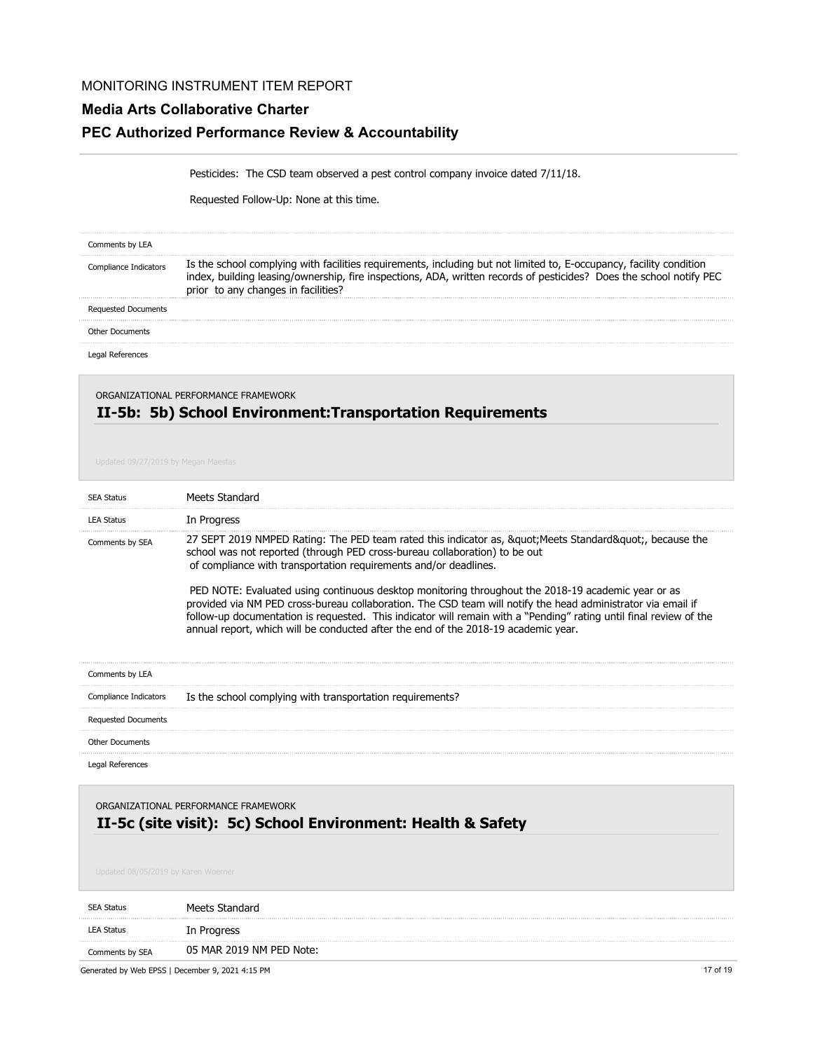## **Media Arts Collaborative Charter**

# **PEC Authorized Performance Review & Accountability**

Pesticides: The CSD team observed a pest control company invoice dated 7/11/18.

Requested Follow-Up: None at this time.

| Comments by LEA            |                                                                                                                                                                                                                                                           |
|----------------------------|-----------------------------------------------------------------------------------------------------------------------------------------------------------------------------------------------------------------------------------------------------------|
| npiiance Indicators        | Is the school complying with facilities requirements, including but not limited to, E-occupancy, facility cor<br>naifion<br>leasing/ownership, fire inspections, ADA, written records of pesticides? Does the school notify PEC<br>changes in facilities? |
| <b>Requested Documents</b> |                                                                                                                                                                                                                                                           |
| <b>Other Documents</b>     |                                                                                                                                                                                                                                                           |
|                            |                                                                                                                                                                                                                                                           |

ORGANIZATIONAL PERFORMANCE FRAMEWORK

# **II-5b: 5b) School Environment:Transportation Requirements**

| <b>SEA Status</b>          | Meets Standard                                                                                                                                                                                                                                                                                                                                                                                                                                                                                                                                                                                                                                                                                   |
|----------------------------|--------------------------------------------------------------------------------------------------------------------------------------------------------------------------------------------------------------------------------------------------------------------------------------------------------------------------------------------------------------------------------------------------------------------------------------------------------------------------------------------------------------------------------------------------------------------------------------------------------------------------------------------------------------------------------------------------|
| <b>LEA Status</b>          | In Progress                                                                                                                                                                                                                                                                                                                                                                                                                                                                                                                                                                                                                                                                                      |
| Comments by SEA            | 27 SEPT 2019 NMPED Rating: The PED team rated this indicator as, & quot; Meets Standard & quot;, because the<br>school was not reported (through PED cross-bureau collaboration) to be out<br>of compliance with transportation requirements and/or deadlines.<br>PED NOTE: Evaluated using continuous desktop monitoring throughout the 2018-19 academic year or as<br>provided via NM PED cross-bureau collaboration. The CSD team will notify the head administrator via email if<br>follow-up documentation is requested. This indicator will remain with a "Pending" rating until final review of the<br>annual report, which will be conducted after the end of the 2018-19 academic year. |
| Comments by LEA            |                                                                                                                                                                                                                                                                                                                                                                                                                                                                                                                                                                                                                                                                                                  |
| Compliance Indicators      | Is the school complying with transportation requirements?                                                                                                                                                                                                                                                                                                                                                                                                                                                                                                                                                                                                                                        |
| <b>Requested Documents</b> |                                                                                                                                                                                                                                                                                                                                                                                                                                                                                                                                                                                                                                                                                                  |
| <b>Other Documents</b>     |                                                                                                                                                                                                                                                                                                                                                                                                                                                                                                                                                                                                                                                                                                  |
| Legal References           |                                                                                                                                                                                                                                                                                                                                                                                                                                                                                                                                                                                                                                                                                                  |
|                            | ORGANIZATIONAL PERFORMANCE FRAMEWORK<br>II-5c (site visit): 5c) School Environment: Health & Safety                                                                                                                                                                                                                                                                                                                                                                                                                                                                                                                                                                                              |

| SEA Status        | Meets Standard           |
|-------------------|--------------------------|
| <b>LEA Status</b> | In Progress              |
| Comments by SEA   | 05 MAR 2019 NM PED Note: |

Generated by Web EPSS | December 9, 2021 4:15 PM 17 of 19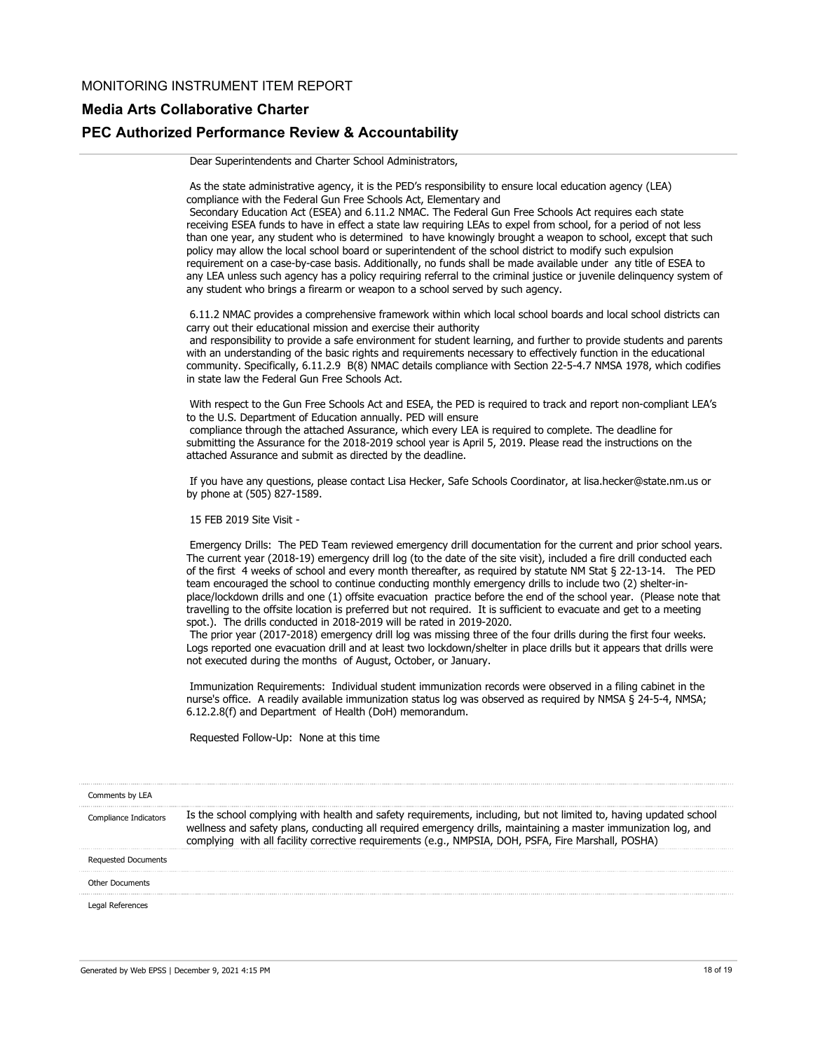#### **Media Arts Collaborative Charter**

# **PEC Authorized Performance Review & Accountability**

Dear Superintendents and Charter School Administrators,

 As the state administrative agency, it is the PED's responsibility to ensure local education agency (LEA) compliance with the Federal Gun Free Schools Act, Elementary and

 Secondary Education Act (ESEA) and 6.11.2 NMAC. The Federal Gun Free Schools Act requires each state receiving ESEA funds to have in effect a state law requiring LEAs to expel from school, for a period of not less than one year, any student who is determined to have knowingly brought a weapon to school, except that such policy may allow the local school board or superintendent of the school district to modify such expulsion requirement on a case-by-case basis. Additionally, no funds shall be made available under any title of ESEA to any LEA unless such agency has a policy requiring referral to the criminal justice or juvenile delinquency system of any student who brings a firearm or weapon to a school served by such agency.

 6.11.2 NMAC provides a comprehensive framework within which local school boards and local school districts can carry out their educational mission and exercise their authority

 and responsibility to provide a safe environment for student learning, and further to provide students and parents with an understanding of the basic rights and requirements necessary to effectively function in the educational community. Specifically, 6.11.2.9 B(8) NMAC details compliance with Section 22-5-4.7 NMSA 1978, which codifies in state law the Federal Gun Free Schools Act.

 With respect to the Gun Free Schools Act and ESEA, the PED is required to track and report non-compliant LEA's to the U.S. Department of Education annually. PED will ensure compliance through the attached Assurance, which every LEA is required to complete. The deadline for

submitting the Assurance for the 2018-2019 school year is April 5, 2019. Please read the instructions on the attached Assurance and submit as directed by the deadline.

 If you have any questions, please contact Lisa Hecker, Safe Schools Coordinator, at lisa.hecker@state.nm.us or by phone at (505) 827-1589.

15 FEB 2019 Site Visit -

 Emergency Drills: The PED Team reviewed emergency drill documentation for the current and prior school years. The current year (2018-19) emergency drill log (to the date of the site visit), included a fire drill conducted each of the first 4 weeks of school and every month thereafter, as required by statute NM Stat § 22-13-14. The PED team encouraged the school to continue conducting monthly emergency drills to include two (2) shelter-inplace/lockdown drills and one (1) offsite evacuation practice before the end of the school year. (Please note that travelling to the offsite location is preferred but not required. It is sufficient to evacuate and get to a meeting spot.). The drills conducted in 2018-2019 will be rated in 2019-2020.

 The prior year (2017-2018) emergency drill log was missing three of the four drills during the first four weeks. Logs reported one evacuation drill and at least two lockdown/shelter in place drills but it appears that drills were not executed during the months of August, October, or January.

 Immunization Requirements: Individual student immunization records were observed in a filing cabinet in the nurse's office. A readily available immunization status log was observed as required by NMSA § 24-5-4, NMSA; 6.12.2.8(f) and Department of Health (DoH) memorandum.

Requested Follow-Up: None at this time

| Comments by LEA |                                                                                                                                                                                                                                                                                                    |
|-----------------|----------------------------------------------------------------------------------------------------------------------------------------------------------------------------------------------------------------------------------------------------------------------------------------------------|
|                 | Is the sc<br>and safety requirements, including, but not<br>complying with<br>nited<br>cting all required emergency drills, mair<br>ntaining a master<br>plans, conduc<br>nunization log, and<br>well<br>with all facility corrective requirements (e.g., NMPSIA, DOH, PSFA, Fire Marshall, POSHA) |
|                 |                                                                                                                                                                                                                                                                                                    |
| Other Documents |                                                                                                                                                                                                                                                                                                    |
|                 |                                                                                                                                                                                                                                                                                                    |
|                 |                                                                                                                                                                                                                                                                                                    |